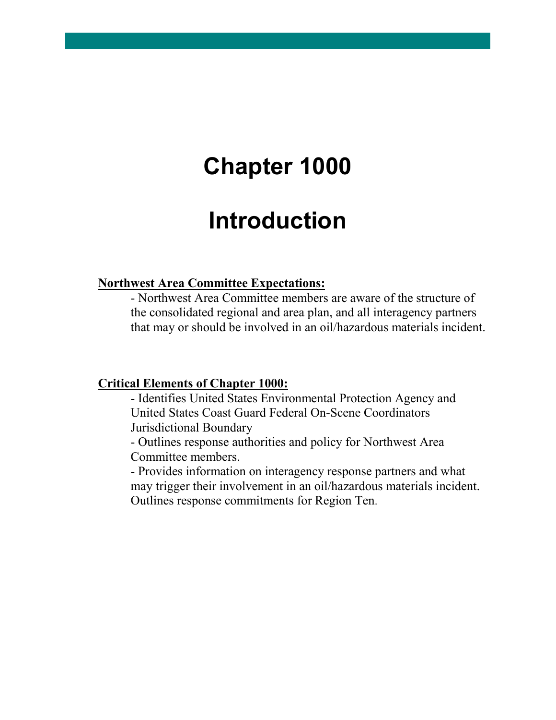## **Chapter 1000**

## **Introduction**

#### **Northwest Area Committee Expectations:**

- Northwest Area Committee members are aware of the structure of the consolidated regional and area plan, and all interagency partners that may or should be involved in an oil/hazardous materials incident.

#### **Critical Elements of Chapter 1000:**

- Identifies United States Environmental Protection Agency and United States Coast Guard Federal On-Scene Coordinators Jurisdictional Boundary

- Outlines response authorities and policy for Northwest Area Committee members.

- Provides information on interagency response partners and what may trigger their involvement in an oil/hazardous materials incident. Outlines response commitments for Region Ten.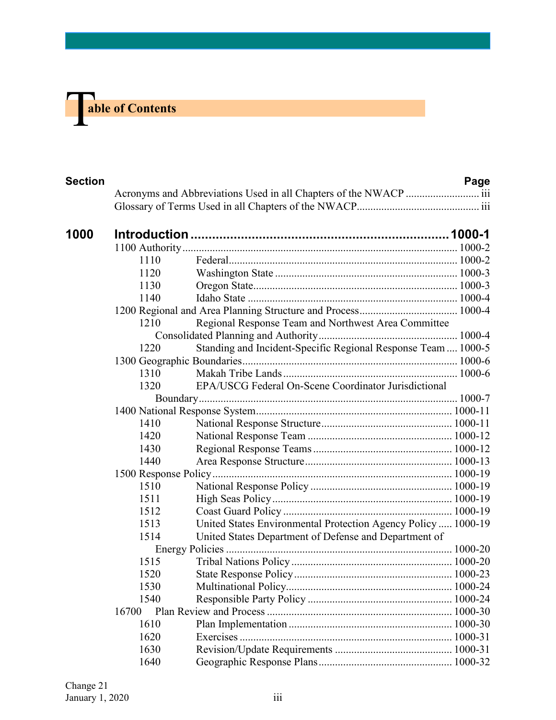# **The able of Contents**

| <b>Section</b> |       |                                                               | Page |
|----------------|-------|---------------------------------------------------------------|------|
|                |       |                                                               |      |
|                |       |                                                               |      |
| 1000           |       |                                                               |      |
|                |       |                                                               |      |
|                | 1110  |                                                               |      |
|                | 1120  |                                                               |      |
|                | 1130  |                                                               |      |
|                | 1140  |                                                               |      |
|                |       |                                                               |      |
|                | 1210  | Regional Response Team and Northwest Area Committee           |      |
|                |       |                                                               |      |
|                | 1220  | Standing and Incident-Specific Regional Response Team  1000-5 |      |
|                |       |                                                               |      |
|                | 1310  |                                                               |      |
|                | 1320  | EPA/USCG Federal On-Scene Coordinator Jurisdictional          |      |
|                |       |                                                               |      |
|                |       |                                                               |      |
|                | 1410  |                                                               |      |
|                | 1420  |                                                               |      |
|                | 1430  |                                                               |      |
|                | 1440  |                                                               |      |
|                |       |                                                               |      |
|                | 1510  |                                                               |      |
|                | 1511  |                                                               |      |
|                | 1512  |                                                               |      |
|                | 1513  | United States Environmental Protection Agency Policy  1000-19 |      |
|                | 1514  | United States Department of Defense and Department of         |      |
|                |       |                                                               |      |
|                | 1515  |                                                               |      |
|                | 1520  |                                                               |      |
|                | 1530  |                                                               |      |
|                | 1540  |                                                               |      |
|                | 16700 |                                                               |      |
|                | 1610  |                                                               |      |
|                | 1620  |                                                               |      |
|                | 1630  |                                                               |      |
|                | 1640  |                                                               |      |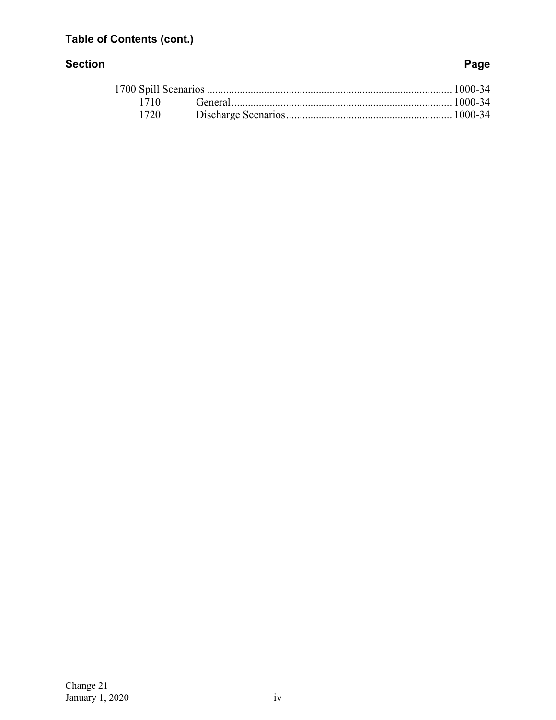### **Table of Contents (cont.)**

#### **Section Page**

| 1720 |  |
|------|--|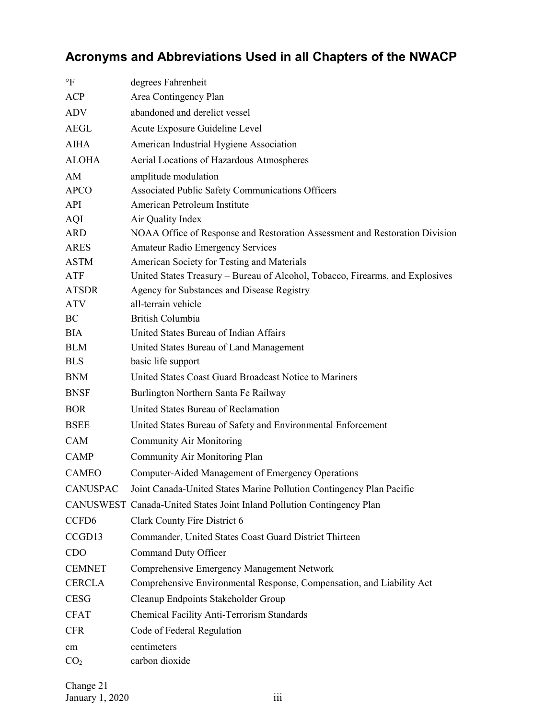## <span id="page-3-0"></span>**Acronyms and Abbreviations Used in all Chapters of the NWACP**

| $\,{}^{\circ}\!F$ | degrees Fahrenheit                                                            |
|-------------------|-------------------------------------------------------------------------------|
| <b>ACP</b>        | Area Contingency Plan                                                         |
| <b>ADV</b>        | abandoned and derelict vessel                                                 |
| <b>AEGL</b>       | Acute Exposure Guideline Level                                                |
| <b>AIHA</b>       | American Industrial Hygiene Association                                       |
| <b>ALOHA</b>      | Aerial Locations of Hazardous Atmospheres                                     |
| AM                | amplitude modulation                                                          |
| <b>APCO</b>       | Associated Public Safety Communications Officers                              |
| API               | American Petroleum Institute                                                  |
| AQI               | Air Quality Index                                                             |
| ARD               | NOAA Office of Response and Restoration Assessment and Restoration Division   |
| <b>ARES</b>       | <b>Amateur Radio Emergency Services</b>                                       |
| <b>ASTM</b>       | American Society for Testing and Materials                                    |
| ATF               | United States Treasury - Bureau of Alcohol, Tobacco, Firearms, and Explosives |
| <b>ATSDR</b>      | Agency for Substances and Disease Registry                                    |
| <b>ATV</b>        | all-terrain vehicle                                                           |
| BC                | <b>British Columbia</b>                                                       |
| <b>BIA</b>        | United States Bureau of Indian Affairs                                        |
| <b>BLM</b>        | United States Bureau of Land Management                                       |
| <b>BLS</b>        | basic life support                                                            |
| <b>BNM</b>        | United States Coast Guard Broadcast Notice to Mariners                        |
| <b>BNSF</b>       | Burlington Northern Santa Fe Railway                                          |
| <b>BOR</b>        | United States Bureau of Reclamation                                           |
| <b>BSEE</b>       | United States Bureau of Safety and Environmental Enforcement                  |
| CAM               | <b>Community Air Monitoring</b>                                               |
| CAMP              | Community Air Monitoring Plan                                                 |
| <b>CAMEO</b>      | Computer-Aided Management of Emergency Operations                             |
| <b>CANUSPAC</b>   | Joint Canada-United States Marine Pollution Contingency Plan Pacific          |
|                   | CANUSWEST Canada-United States Joint Inland Pollution Contingency Plan        |
| CCFD <sub>6</sub> | Clark County Fire District 6                                                  |
| CCGD13            | Commander, United States Coast Guard District Thirteen                        |
| CDO               | Command Duty Officer                                                          |
| <b>CEMNET</b>     | Comprehensive Emergency Management Network                                    |
| <b>CERCLA</b>     | Comprehensive Environmental Response, Compensation, and Liability Act         |
| <b>CESG</b>       | Cleanup Endpoints Stakeholder Group                                           |
| <b>CFAT</b>       | Chemical Facility Anti-Terrorism Standards                                    |
| <b>CFR</b>        | Code of Federal Regulation                                                    |
| cm                | centimeters                                                                   |
| CO <sub>2</sub>   | carbon dioxide                                                                |
|                   |                                                                               |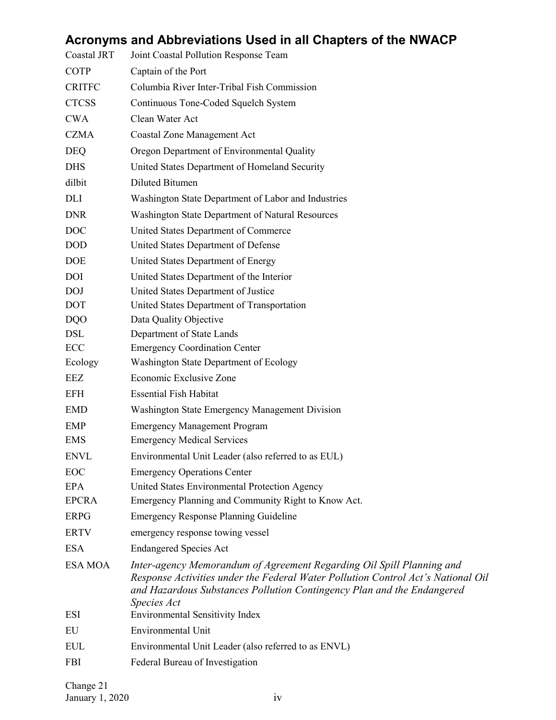## **Acronyms and Abbreviations Used in all Chapters of the NWACP**

| Coastal JRT    | Joint Coastal Pollution Response Team                                                                                                                                                                                                              |
|----------------|----------------------------------------------------------------------------------------------------------------------------------------------------------------------------------------------------------------------------------------------------|
| COTP           | Captain of the Port                                                                                                                                                                                                                                |
| <b>CRITFC</b>  | Columbia River Inter-Tribal Fish Commission                                                                                                                                                                                                        |
| <b>CTCSS</b>   | Continuous Tone-Coded Squelch System                                                                                                                                                                                                               |
| <b>CWA</b>     | Clean Water Act                                                                                                                                                                                                                                    |
| <b>CZMA</b>    | <b>Coastal Zone Management Act</b>                                                                                                                                                                                                                 |
| <b>DEQ</b>     | Oregon Department of Environmental Quality                                                                                                                                                                                                         |
| <b>DHS</b>     | United States Department of Homeland Security                                                                                                                                                                                                      |
| dilbit         | <b>Diluted Bitumen</b>                                                                                                                                                                                                                             |
| DLI            | Washington State Department of Labor and Industries                                                                                                                                                                                                |
| <b>DNR</b>     | Washington State Department of Natural Resources                                                                                                                                                                                                   |
| <b>DOC</b>     | United States Department of Commerce                                                                                                                                                                                                               |
| <b>DOD</b>     | United States Department of Defense                                                                                                                                                                                                                |
| <b>DOE</b>     | United States Department of Energy                                                                                                                                                                                                                 |
| <b>DOI</b>     | United States Department of the Interior                                                                                                                                                                                                           |
| <b>DOJ</b>     | United States Department of Justice                                                                                                                                                                                                                |
| DOT            | United States Department of Transportation                                                                                                                                                                                                         |
| <b>DQO</b>     | Data Quality Objective                                                                                                                                                                                                                             |
| DSL            | Department of State Lands                                                                                                                                                                                                                          |
| ECC            | <b>Emergency Coordination Center</b>                                                                                                                                                                                                               |
| Ecology        | Washington State Department of Ecology                                                                                                                                                                                                             |
| EEZ            | Economic Exclusive Zone                                                                                                                                                                                                                            |
| EFH            | <b>Essential Fish Habitat</b>                                                                                                                                                                                                                      |
| <b>EMD</b>     | Washington State Emergency Management Division                                                                                                                                                                                                     |
| <b>EMP</b>     | <b>Emergency Management Program</b>                                                                                                                                                                                                                |
| <b>EMS</b>     | <b>Emergency Medical Services</b>                                                                                                                                                                                                                  |
| <b>ENVL</b>    | Environmental Unit Leader (also referred to as EUL)                                                                                                                                                                                                |
| EOC            | <b>Emergency Operations Center</b>                                                                                                                                                                                                                 |
| <b>EPA</b>     | United States Environmental Protection Agency                                                                                                                                                                                                      |
| <b>EPCRA</b>   | Emergency Planning and Community Right to Know Act.                                                                                                                                                                                                |
| <b>ERPG</b>    | <b>Emergency Response Planning Guideline</b>                                                                                                                                                                                                       |
| <b>ERTV</b>    | emergency response towing vessel                                                                                                                                                                                                                   |
| <b>ESA</b>     | <b>Endangered Species Act</b>                                                                                                                                                                                                                      |
| <b>ESA MOA</b> | Inter-agency Memorandum of Agreement Regarding Oil Spill Planning and<br>Response Activities under the Federal Water Pollution Control Act's National Oil<br>and Hazardous Substances Pollution Contingency Plan and the Endangered<br>Species Act |
| ESI            | <b>Environmental Sensitivity Index</b>                                                                                                                                                                                                             |
| EU             | <b>Environmental Unit</b>                                                                                                                                                                                                                          |
| <b>EUL</b>     | Environmental Unit Leader (also referred to as ENVL)                                                                                                                                                                                               |
| <b>FBI</b>     | Federal Bureau of Investigation                                                                                                                                                                                                                    |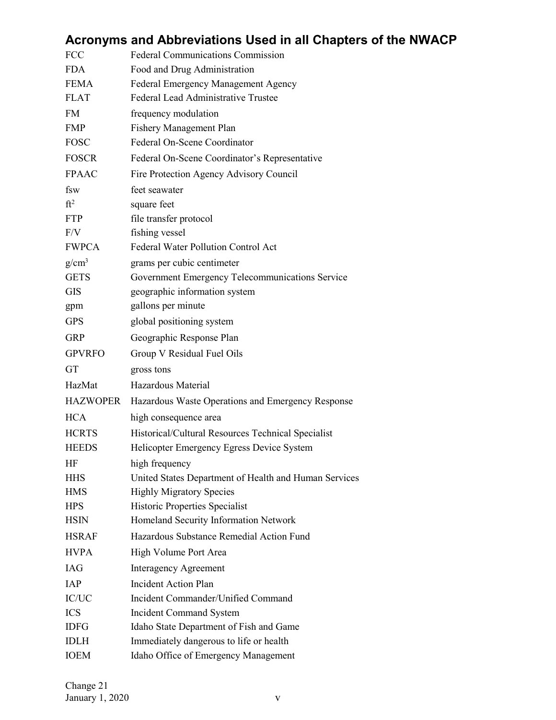|                 | Acronyms and Abbreviations Used in all Chapters of the NWACP |
|-----------------|--------------------------------------------------------------|
| <b>FCC</b>      | Federal Communications Commission                            |
| <b>FDA</b>      | Food and Drug Administration                                 |
| <b>FEMA</b>     | Federal Emergency Management Agency                          |
| <b>FLAT</b>     | Federal Lead Administrative Trustee                          |
| <b>FM</b>       | frequency modulation                                         |
| <b>FMP</b>      | <b>Fishery Management Plan</b>                               |
| <b>FOSC</b>     | Federal On-Scene Coordinator                                 |
| <b>FOSCR</b>    | Federal On-Scene Coordinator's Representative                |
| <b>FPAAC</b>    | Fire Protection Agency Advisory Council                      |
| fsw             | feet seawater                                                |
| $ft^2$          | square feet                                                  |
| <b>FTP</b>      | file transfer protocol                                       |
| F/V             | fishing vessel                                               |
| <b>FWPCA</b>    | Federal Water Pollution Control Act                          |
| $g/cm^3$        | grams per cubic centimeter                                   |
| <b>GETS</b>     | Government Emergency Telecommunications Service              |
| <b>GIS</b>      | geographic information system                                |
| gpm             | gallons per minute                                           |
| <b>GPS</b>      | global positioning system                                    |
| <b>GRP</b>      | Geographic Response Plan                                     |
| <b>GPVRFO</b>   | Group V Residual Fuel Oils                                   |
| <b>GT</b>       | gross tons                                                   |
| HazMat          | Hazardous Material                                           |
| <b>HAZWOPER</b> | Hazardous Waste Operations and Emergency Response            |
| <b>HCA</b>      | high consequence area                                        |
| <b>HCRTS</b>    | Historical/Cultural Resources Technical Specialist           |
| <b>HEEDS</b>    | Helicopter Emergency Egress Device System                    |
| HF              | high frequency                                               |
| <b>HHS</b>      | United States Department of Health and Human Services        |
| <b>HMS</b>      | <b>Highly Migratory Species</b>                              |
| <b>HPS</b>      | Historic Properties Specialist                               |
| <b>HSIN</b>     | Homeland Security Information Network                        |
| <b>HSRAF</b>    | Hazardous Substance Remedial Action Fund                     |
| <b>HVPA</b>     | High Volume Port Area                                        |
| <b>IAG</b>      | <b>Interagency Agreement</b>                                 |
| IAP             | <b>Incident Action Plan</b>                                  |
| $\rm{IC/UC}$    | Incident Commander/Unified Command                           |
| <b>ICS</b>      | <b>Incident Command System</b>                               |
| <b>IDFG</b>     | Idaho State Department of Fish and Game                      |
| <b>IDLH</b>     | Immediately dangerous to life or health                      |
| <b>IOEM</b>     | Idaho Office of Emergency Management                         |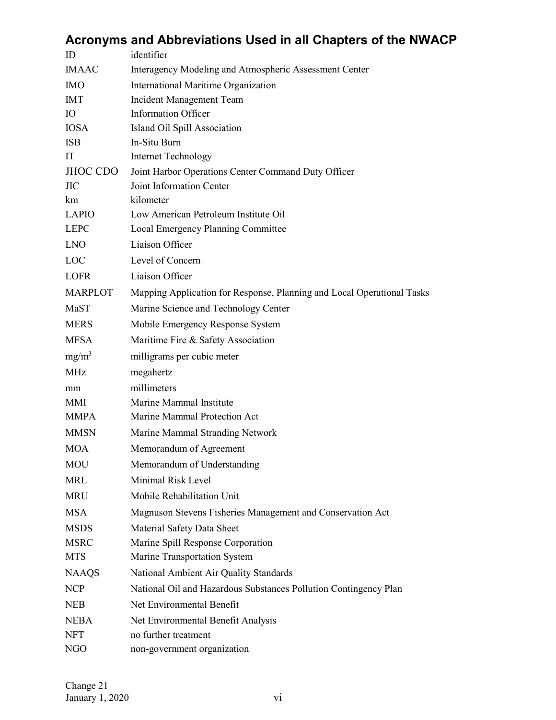|                | Acronyms and Abbreviations Used in all Chapters of the NWACP           |
|----------------|------------------------------------------------------------------------|
| ID             | identifier                                                             |
| <b>IMAAC</b>   | Interagency Modeling and Atmospheric Assessment Center                 |
| <b>IMO</b>     | International Maritime Organization                                    |
| <b>IMT</b>     | Incident Management Team                                               |
| <b>IO</b>      | <b>Information Officer</b>                                             |
| <b>IOSA</b>    | Island Oil Spill Association                                           |
| <b>ISB</b>     | In-Situ Burn                                                           |
| IT             | <b>Internet Technology</b>                                             |
| JHOC CDO       | Joint Harbor Operations Center Command Duty Officer                    |
| <b>JIC</b>     | Joint Information Center                                               |
| km             | kilometer                                                              |
| LAPIO          | Low American Petroleum Institute Oil                                   |
| <b>LEPC</b>    | Local Emergency Planning Committee                                     |
| <b>LNO</b>     | Liaison Officer                                                        |
| <b>LOC</b>     | Level of Concern                                                       |
| <b>LOFR</b>    | Liaison Officer                                                        |
| <b>MARPLOT</b> | Mapping Application for Response, Planning and Local Operational Tasks |
| MaST           | Marine Science and Technology Center                                   |
| <b>MERS</b>    | Mobile Emergency Response System                                       |
| <b>MFSA</b>    | Maritime Fire & Safety Association                                     |
| $mg/m^3$       | milligrams per cubic meter                                             |
| <b>MHz</b>     | megahertz                                                              |
| mm             | millimeters                                                            |
| MMI            | Marine Mammal Institute                                                |
| MMPA           | Marine Mammal Protection Act                                           |
| <b>MMSN</b>    | Marine Mammal Stranding Network                                        |
| <b>MOA</b>     | Memorandum of Agreement                                                |
| <b>MOU</b>     | Memorandum of Understanding                                            |
| MRL            | Minimal Risk Level                                                     |
| <b>MRU</b>     | Mobile Rehabilitation Unit                                             |
| <b>MSA</b>     | Magnuson Stevens Fisheries Management and Conservation Act             |
| <b>MSDS</b>    | Material Safety Data Sheet                                             |
| <b>MSRC</b>    | Marine Spill Response Corporation                                      |
| <b>MTS</b>     | Marine Transportation System                                           |
| <b>NAAQS</b>   | National Ambient Air Quality Standards                                 |
| <b>NCP</b>     | National Oil and Hazardous Substances Pollution Contingency Plan       |
| <b>NEB</b>     | Net Environmental Benefit                                              |
| <b>NEBA</b>    | Net Environmental Benefit Analysis                                     |
| <b>NFT</b>     | no further treatment                                                   |
| NGO            | non-government organization                                            |

#### Change 21  $January 1, 2020$  vi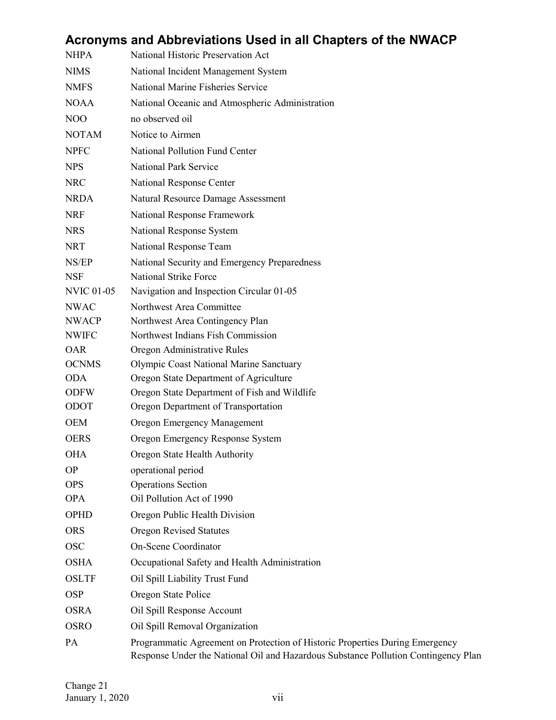|                   | Acronyms and Abbreviations Used in all Chapters of the NWACP                                                                                                       |
|-------------------|--------------------------------------------------------------------------------------------------------------------------------------------------------------------|
| <b>NHPA</b>       | National Historic Preservation Act                                                                                                                                 |
| <b>NIMS</b>       | National Incident Management System                                                                                                                                |
| <b>NMFS</b>       | National Marine Fisheries Service                                                                                                                                  |
| <b>NOAA</b>       | National Oceanic and Atmospheric Administration                                                                                                                    |
| N <sub>O</sub> O  | no observed oil                                                                                                                                                    |
| <b>NOTAM</b>      | Notice to Airmen                                                                                                                                                   |
| <b>NPFC</b>       | National Pollution Fund Center                                                                                                                                     |
| <b>NPS</b>        | <b>National Park Service</b>                                                                                                                                       |
| <b>NRC</b>        | National Response Center                                                                                                                                           |
| <b>NRDA</b>       | Natural Resource Damage Assessment                                                                                                                                 |
| <b>NRF</b>        | National Response Framework                                                                                                                                        |
| <b>NRS</b>        | National Response System                                                                                                                                           |
| <b>NRT</b>        | National Response Team                                                                                                                                             |
| NS/EP             | National Security and Emergency Preparedness                                                                                                                       |
| <b>NSF</b>        | National Strike Force                                                                                                                                              |
| <b>NVIC 01-05</b> | Navigation and Inspection Circular 01-05                                                                                                                           |
| <b>NWAC</b>       | Northwest Area Committee                                                                                                                                           |
| <b>NWACP</b>      | Northwest Area Contingency Plan                                                                                                                                    |
| <b>NWIFC</b>      | Northwest Indians Fish Commission                                                                                                                                  |
| <b>OAR</b>        | Oregon Administrative Rules                                                                                                                                        |
| <b>OCNMS</b>      | Olympic Coast National Marine Sanctuary                                                                                                                            |
| <b>ODA</b>        | Oregon State Department of Agriculture                                                                                                                             |
| <b>ODFW</b>       | Oregon State Department of Fish and Wildlife                                                                                                                       |
| ODOT              | Oregon Department of Transportation                                                                                                                                |
| <b>OEM</b>        | Oregon Emergency Management                                                                                                                                        |
| <b>OERS</b>       | Oregon Emergency Response System                                                                                                                                   |
| <b>OHA</b>        | Oregon State Health Authority                                                                                                                                      |
| <b>OP</b>         | operational period                                                                                                                                                 |
| <b>OPS</b>        | <b>Operations Section</b>                                                                                                                                          |
| <b>OPA</b>        | Oil Pollution Act of 1990                                                                                                                                          |
| OPHD              | Oregon Public Health Division                                                                                                                                      |
| <b>ORS</b>        | <b>Oregon Revised Statutes</b>                                                                                                                                     |
| <b>OSC</b>        | On-Scene Coordinator                                                                                                                                               |
| <b>OSHA</b>       | Occupational Safety and Health Administration                                                                                                                      |
| <b>OSLTF</b>      | Oil Spill Liability Trust Fund                                                                                                                                     |
| <b>OSP</b>        | Oregon State Police                                                                                                                                                |
| <b>OSRA</b>       | Oil Spill Response Account                                                                                                                                         |
| <b>OSRO</b>       | Oil Spill Removal Organization                                                                                                                                     |
| PA                | Programmatic Agreement on Protection of Historic Properties During Emergency<br>Response Under the National Oil and Hazardous Substance Pollution Contingency Plan |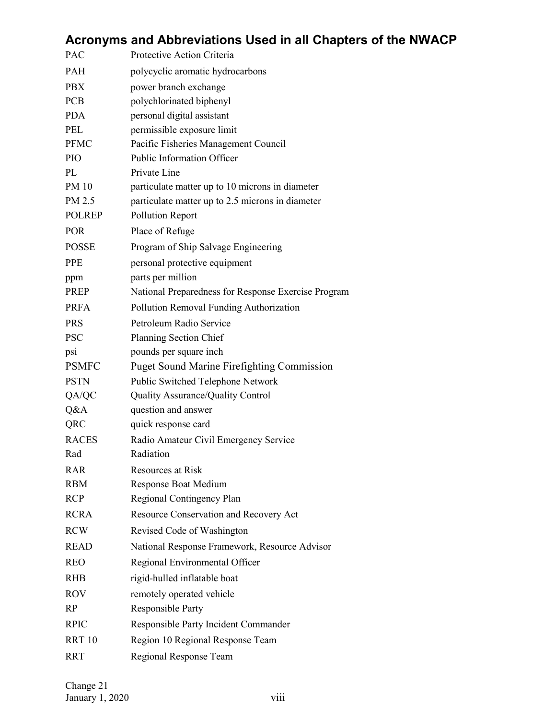| Protective Action Criteria<br>polycyclic aromatic hydrocarbons<br>power branch exchange<br>polychlorinated biphenyl<br>personal digital assistant<br>permissible exposure limit<br>Pacific Fisheries Management Council<br>Public Information Officer<br>Private Line<br>particulate matter up to 10 microns in diameter<br>particulate matter up to 2.5 microns in diameter<br><b>Pollution Report</b><br>Place of Refuge<br>Program of Ship Salvage Engineering<br>personal protective equipment<br>parts per million<br>National Preparedness for Response Exercise Program<br>Pollution Removal Funding Authorization<br>Petroleum Radio Service<br>Planning Section Chief<br>pounds per square inch<br><b>Puget Sound Marine Firefighting Commission</b><br>Public Switched Telephone Network<br>Quality Assurance/Quality Control<br>question and answer<br>quick response card<br>Radio Amateur Civil Emergency Service<br>Radiation<br>Resources at Risk<br>Response Boat Medium<br>Regional Contingency Plan<br>Resource Conservation and Recovery Act<br>Revised Code of Washington<br>National Response Framework, Resource Advisor<br>Regional Environmental Officer<br>rigid-hulled inflatable boat<br>remotely operated vehicle<br>Responsible Party<br>Responsible Party Incident Commander |               | Acronyms and Abbreviations Used in all Chapters of the NWACP |
|------------------------------------------------------------------------------------------------------------------------------------------------------------------------------------------------------------------------------------------------------------------------------------------------------------------------------------------------------------------------------------------------------------------------------------------------------------------------------------------------------------------------------------------------------------------------------------------------------------------------------------------------------------------------------------------------------------------------------------------------------------------------------------------------------------------------------------------------------------------------------------------------------------------------------------------------------------------------------------------------------------------------------------------------------------------------------------------------------------------------------------------------------------------------------------------------------------------------------------------------------------------------------------------------------------|---------------|--------------------------------------------------------------|
|                                                                                                                                                                                                                                                                                                                                                                                                                                                                                                                                                                                                                                                                                                                                                                                                                                                                                                                                                                                                                                                                                                                                                                                                                                                                                                            | <b>PAC</b>    |                                                              |
|                                                                                                                                                                                                                                                                                                                                                                                                                                                                                                                                                                                                                                                                                                                                                                                                                                                                                                                                                                                                                                                                                                                                                                                                                                                                                                            | PAH           |                                                              |
|                                                                                                                                                                                                                                                                                                                                                                                                                                                                                                                                                                                                                                                                                                                                                                                                                                                                                                                                                                                                                                                                                                                                                                                                                                                                                                            | <b>PBX</b>    |                                                              |
|                                                                                                                                                                                                                                                                                                                                                                                                                                                                                                                                                                                                                                                                                                                                                                                                                                                                                                                                                                                                                                                                                                                                                                                                                                                                                                            | <b>PCB</b>    |                                                              |
|                                                                                                                                                                                                                                                                                                                                                                                                                                                                                                                                                                                                                                                                                                                                                                                                                                                                                                                                                                                                                                                                                                                                                                                                                                                                                                            | <b>PDA</b>    |                                                              |
|                                                                                                                                                                                                                                                                                                                                                                                                                                                                                                                                                                                                                                                                                                                                                                                                                                                                                                                                                                                                                                                                                                                                                                                                                                                                                                            | PEL           |                                                              |
|                                                                                                                                                                                                                                                                                                                                                                                                                                                                                                                                                                                                                                                                                                                                                                                                                                                                                                                                                                                                                                                                                                                                                                                                                                                                                                            | <b>PFMC</b>   |                                                              |
|                                                                                                                                                                                                                                                                                                                                                                                                                                                                                                                                                                                                                                                                                                                                                                                                                                                                                                                                                                                                                                                                                                                                                                                                                                                                                                            | PIO           |                                                              |
|                                                                                                                                                                                                                                                                                                                                                                                                                                                                                                                                                                                                                                                                                                                                                                                                                                                                                                                                                                                                                                                                                                                                                                                                                                                                                                            | PL            |                                                              |
|                                                                                                                                                                                                                                                                                                                                                                                                                                                                                                                                                                                                                                                                                                                                                                                                                                                                                                                                                                                                                                                                                                                                                                                                                                                                                                            | <b>PM 10</b>  |                                                              |
|                                                                                                                                                                                                                                                                                                                                                                                                                                                                                                                                                                                                                                                                                                                                                                                                                                                                                                                                                                                                                                                                                                                                                                                                                                                                                                            | PM 2.5        |                                                              |
|                                                                                                                                                                                                                                                                                                                                                                                                                                                                                                                                                                                                                                                                                                                                                                                                                                                                                                                                                                                                                                                                                                                                                                                                                                                                                                            | <b>POLREP</b> |                                                              |
|                                                                                                                                                                                                                                                                                                                                                                                                                                                                                                                                                                                                                                                                                                                                                                                                                                                                                                                                                                                                                                                                                                                                                                                                                                                                                                            | <b>POR</b>    |                                                              |
|                                                                                                                                                                                                                                                                                                                                                                                                                                                                                                                                                                                                                                                                                                                                                                                                                                                                                                                                                                                                                                                                                                                                                                                                                                                                                                            | <b>POSSE</b>  |                                                              |
|                                                                                                                                                                                                                                                                                                                                                                                                                                                                                                                                                                                                                                                                                                                                                                                                                                                                                                                                                                                                                                                                                                                                                                                                                                                                                                            | <b>PPE</b>    |                                                              |
|                                                                                                                                                                                                                                                                                                                                                                                                                                                                                                                                                                                                                                                                                                                                                                                                                                                                                                                                                                                                                                                                                                                                                                                                                                                                                                            | ppm           |                                                              |
|                                                                                                                                                                                                                                                                                                                                                                                                                                                                                                                                                                                                                                                                                                                                                                                                                                                                                                                                                                                                                                                                                                                                                                                                                                                                                                            | <b>PREP</b>   |                                                              |
|                                                                                                                                                                                                                                                                                                                                                                                                                                                                                                                                                                                                                                                                                                                                                                                                                                                                                                                                                                                                                                                                                                                                                                                                                                                                                                            | <b>PRFA</b>   |                                                              |
|                                                                                                                                                                                                                                                                                                                                                                                                                                                                                                                                                                                                                                                                                                                                                                                                                                                                                                                                                                                                                                                                                                                                                                                                                                                                                                            | <b>PRS</b>    |                                                              |
|                                                                                                                                                                                                                                                                                                                                                                                                                                                                                                                                                                                                                                                                                                                                                                                                                                                                                                                                                                                                                                                                                                                                                                                                                                                                                                            | <b>PSC</b>    |                                                              |
|                                                                                                                                                                                                                                                                                                                                                                                                                                                                                                                                                                                                                                                                                                                                                                                                                                                                                                                                                                                                                                                                                                                                                                                                                                                                                                            | psi           |                                                              |
|                                                                                                                                                                                                                                                                                                                                                                                                                                                                                                                                                                                                                                                                                                                                                                                                                                                                                                                                                                                                                                                                                                                                                                                                                                                                                                            | <b>PSMFC</b>  |                                                              |
|                                                                                                                                                                                                                                                                                                                                                                                                                                                                                                                                                                                                                                                                                                                                                                                                                                                                                                                                                                                                                                                                                                                                                                                                                                                                                                            | <b>PSTN</b>   |                                                              |
|                                                                                                                                                                                                                                                                                                                                                                                                                                                                                                                                                                                                                                                                                                                                                                                                                                                                                                                                                                                                                                                                                                                                                                                                                                                                                                            | QA/QC         |                                                              |
|                                                                                                                                                                                                                                                                                                                                                                                                                                                                                                                                                                                                                                                                                                                                                                                                                                                                                                                                                                                                                                                                                                                                                                                                                                                                                                            | Q&A           |                                                              |
|                                                                                                                                                                                                                                                                                                                                                                                                                                                                                                                                                                                                                                                                                                                                                                                                                                                                                                                                                                                                                                                                                                                                                                                                                                                                                                            | QRC           |                                                              |
|                                                                                                                                                                                                                                                                                                                                                                                                                                                                                                                                                                                                                                                                                                                                                                                                                                                                                                                                                                                                                                                                                                                                                                                                                                                                                                            | <b>RACES</b>  |                                                              |
|                                                                                                                                                                                                                                                                                                                                                                                                                                                                                                                                                                                                                                                                                                                                                                                                                                                                                                                                                                                                                                                                                                                                                                                                                                                                                                            | Rad           |                                                              |
|                                                                                                                                                                                                                                                                                                                                                                                                                                                                                                                                                                                                                                                                                                                                                                                                                                                                                                                                                                                                                                                                                                                                                                                                                                                                                                            | RAR           |                                                              |
|                                                                                                                                                                                                                                                                                                                                                                                                                                                                                                                                                                                                                                                                                                                                                                                                                                                                                                                                                                                                                                                                                                                                                                                                                                                                                                            | <b>RBM</b>    |                                                              |
|                                                                                                                                                                                                                                                                                                                                                                                                                                                                                                                                                                                                                                                                                                                                                                                                                                                                                                                                                                                                                                                                                                                                                                                                                                                                                                            | <b>RCP</b>    |                                                              |
|                                                                                                                                                                                                                                                                                                                                                                                                                                                                                                                                                                                                                                                                                                                                                                                                                                                                                                                                                                                                                                                                                                                                                                                                                                                                                                            | <b>RCRA</b>   |                                                              |
|                                                                                                                                                                                                                                                                                                                                                                                                                                                                                                                                                                                                                                                                                                                                                                                                                                                                                                                                                                                                                                                                                                                                                                                                                                                                                                            | <b>RCW</b>    |                                                              |
|                                                                                                                                                                                                                                                                                                                                                                                                                                                                                                                                                                                                                                                                                                                                                                                                                                                                                                                                                                                                                                                                                                                                                                                                                                                                                                            | <b>READ</b>   |                                                              |
|                                                                                                                                                                                                                                                                                                                                                                                                                                                                                                                                                                                                                                                                                                                                                                                                                                                                                                                                                                                                                                                                                                                                                                                                                                                                                                            | <b>REO</b>    |                                                              |
|                                                                                                                                                                                                                                                                                                                                                                                                                                                                                                                                                                                                                                                                                                                                                                                                                                                                                                                                                                                                                                                                                                                                                                                                                                                                                                            | <b>RHB</b>    |                                                              |
|                                                                                                                                                                                                                                                                                                                                                                                                                                                                                                                                                                                                                                                                                                                                                                                                                                                                                                                                                                                                                                                                                                                                                                                                                                                                                                            | <b>ROV</b>    |                                                              |
|                                                                                                                                                                                                                                                                                                                                                                                                                                                                                                                                                                                                                                                                                                                                                                                                                                                                                                                                                                                                                                                                                                                                                                                                                                                                                                            | RP            |                                                              |
|                                                                                                                                                                                                                                                                                                                                                                                                                                                                                                                                                                                                                                                                                                                                                                                                                                                                                                                                                                                                                                                                                                                                                                                                                                                                                                            | <b>RPIC</b>   |                                                              |
|                                                                                                                                                                                                                                                                                                                                                                                                                                                                                                                                                                                                                                                                                                                                                                                                                                                                                                                                                                                                                                                                                                                                                                                                                                                                                                            | <b>RRT 10</b> | Region 10 Regional Response Team                             |
| Regional Response Team                                                                                                                                                                                                                                                                                                                                                                                                                                                                                                                                                                                                                                                                                                                                                                                                                                                                                                                                                                                                                                                                                                                                                                                                                                                                                     | <b>RRT</b>    |                                                              |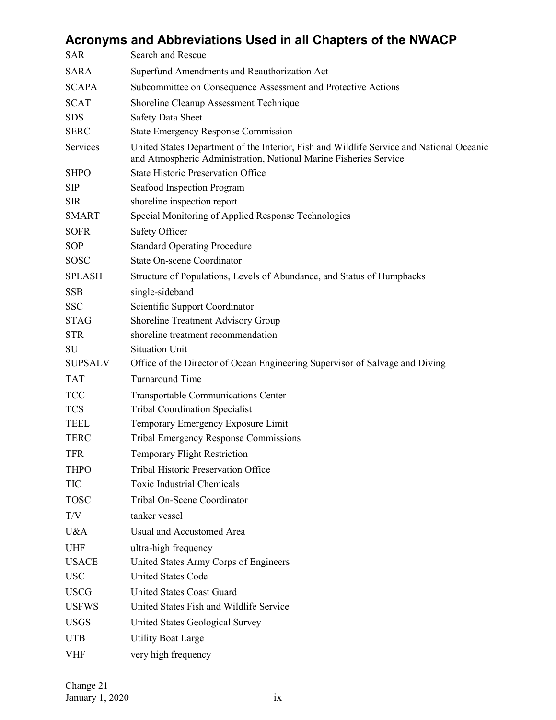|                         | Acronyms and Abbreviations Used in all Chapters of the NWACP                                                                                                  |
|-------------------------|---------------------------------------------------------------------------------------------------------------------------------------------------------------|
| <b>SAR</b>              | Search and Rescue                                                                                                                                             |
| <b>SARA</b>             | Superfund Amendments and Reauthorization Act                                                                                                                  |
| <b>SCAPA</b>            | Subcommittee on Consequence Assessment and Protective Actions                                                                                                 |
| <b>SCAT</b>             | Shoreline Cleanup Assessment Technique                                                                                                                        |
| <b>SDS</b>              | <b>Safety Data Sheet</b>                                                                                                                                      |
| <b>SERC</b>             | <b>State Emergency Response Commission</b>                                                                                                                    |
| <b>Services</b>         | United States Department of the Interior, Fish and Wildlife Service and National Oceanic<br>and Atmospheric Administration, National Marine Fisheries Service |
| <b>SHPO</b>             | <b>State Historic Preservation Office</b>                                                                                                                     |
| <b>SIP</b>              | Seafood Inspection Program                                                                                                                                    |
| <b>SIR</b>              | shoreline inspection report                                                                                                                                   |
| <b>SMART</b>            | Special Monitoring of Applied Response Technologies                                                                                                           |
| <b>SOFR</b>             | Safety Officer                                                                                                                                                |
| <b>SOP</b>              | <b>Standard Operating Procedure</b>                                                                                                                           |
| <b>SOSC</b>             | <b>State On-scene Coordinator</b>                                                                                                                             |
| <b>SPLASH</b>           | Structure of Populations, Levels of Abundance, and Status of Humpbacks                                                                                        |
| <b>SSB</b>              | single-sideband                                                                                                                                               |
| <b>SSC</b>              | Scientific Support Coordinator                                                                                                                                |
| <b>STAG</b>             | Shoreline Treatment Advisory Group                                                                                                                            |
| <b>STR</b>              | shoreline treatment recommendation                                                                                                                            |
| SU                      | <b>Situation Unit</b>                                                                                                                                         |
| <b>SUPSALV</b>          | Office of the Director of Ocean Engineering Supervisor of Salvage and Diving                                                                                  |
| <b>TAT</b>              | Turnaround Time                                                                                                                                               |
| <b>TCC</b>              | <b>Transportable Communications Center</b>                                                                                                                    |
| <b>TCS</b>              | <b>Tribal Coordination Specialist</b>                                                                                                                         |
| <b>TEEL</b>             | Temporary Emergency Exposure Limit                                                                                                                            |
| <b>TERC</b>             | <b>Tribal Emergency Response Commissions</b>                                                                                                                  |
| <b>TFR</b>              | <b>Temporary Flight Restriction</b>                                                                                                                           |
| <b>THPO</b>             | Tribal Historic Preservation Office                                                                                                                           |
| <b>TIC</b>              | <b>Toxic Industrial Chemicals</b>                                                                                                                             |
| <b>TOSC</b>             | Tribal On-Scene Coordinator                                                                                                                                   |
| $\mathrm{T}/\mathrm{V}$ | tanker vessel                                                                                                                                                 |
| U&A                     | Usual and Accustomed Area                                                                                                                                     |
| <b>UHF</b>              | ultra-high frequency                                                                                                                                          |
| <b>USACE</b>            | United States Army Corps of Engineers                                                                                                                         |
| <b>USC</b>              | <b>United States Code</b>                                                                                                                                     |
| <b>USCG</b>             | <b>United States Coast Guard</b>                                                                                                                              |
| <b>USFWS</b>            | United States Fish and Wildlife Service                                                                                                                       |
| <b>USGS</b>             | United States Geological Survey                                                                                                                               |
| <b>UTB</b>              | <b>Utility Boat Large</b>                                                                                                                                     |
| <b>VHF</b>              | very high frequency                                                                                                                                           |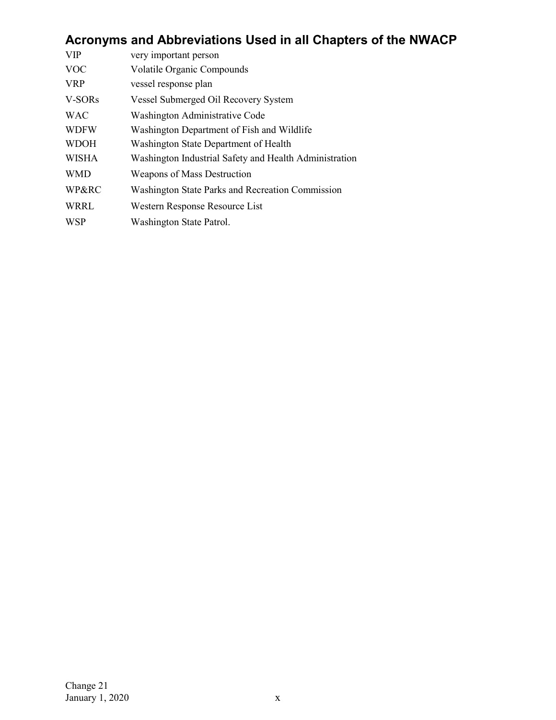## **Acronyms and Abbreviations Used in all Chapters of the NWACP**

| <b>VIP</b>   | very important person                                  |
|--------------|--------------------------------------------------------|
| <b>VOC</b>   | Volatile Organic Compounds                             |
| <b>VRP</b>   | vessel response plan                                   |
| V-SORs       | Vessel Submerged Oil Recovery System                   |
| <b>WAC</b>   | Washington Administrative Code                         |
| <b>WDFW</b>  | Washington Department of Fish and Wildlife             |
| <b>WDOH</b>  | Washington State Department of Health                  |
| <b>WISHA</b> | Washington Industrial Safety and Health Administration |
| <b>WMD</b>   | <b>Weapons of Mass Destruction</b>                     |
| WP&RC        | Washington State Parks and Recreation Commission       |
| WRRL         | Western Response Resource List                         |
| <b>WSP</b>   | Washington State Patrol.                               |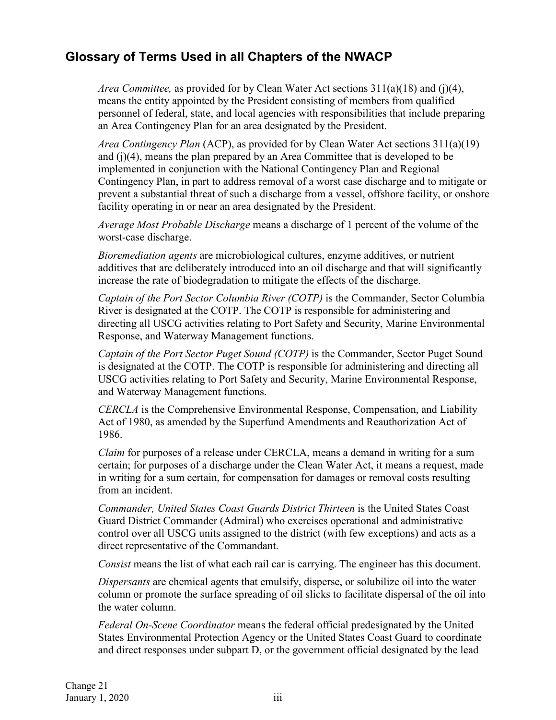<span id="page-11-0"></span>*Area Committee,* as provided for by Clean Water Act sections 311(a)(18) and (j)(4), means the entity appointed by the President consisting of members from qualified personnel of federal, state, and local agencies with responsibilities that include preparing an Area Contingency Plan for an area designated by the President.

*Area Contingency Plan* (ACP), as provided for by Clean Water Act sections 311(a)(19) and (j)(4), means the plan prepared by an Area Committee that is developed to be implemented in conjunction with the National Contingency Plan and Regional Contingency Plan, in part to address removal of a worst case discharge and to mitigate or prevent a substantial threat of such a discharge from a vessel, offshore facility, or onshore facility operating in or near an area designated by the President.

*Average Most Probable Discharge* means a discharge of 1 percent of the volume of the worst-case discharge.

*Bioremediation agents* are microbiological cultures, enzyme additives, or nutrient additives that are deliberately introduced into an oil discharge and that will significantly increase the rate of biodegradation to mitigate the effects of the discharge.

*Captain of the Port Sector Columbia River (COTP)* is the Commander, Sector Columbia River is designated at the COTP. The COTP is responsible for administering and directing all USCG activities relating to Port Safety and Security, Marine Environmental Response, and Waterway Management functions.

*Captain of the Port Sector Puget Sound (COTP)* is the Commander, Sector Puget Sound is designated at the COTP. The COTP is responsible for administering and directing all USCG activities relating to Port Safety and Security, Marine Environmental Response, and Waterway Management functions.

*CERCLA* is the Comprehensive Environmental Response, Compensation, and Liability Act of 1980, as amended by the Superfund Amendments and Reauthorization Act of 1986.

*Claim* for purposes of a release under CERCLA, means a demand in writing for a sum certain; for purposes of a discharge under the Clean Water Act, it means a request, made in writing for a sum certain, for compensation for damages or removal costs resulting from an incident.

*Commander, United States Coast Guards District Thirteen* is the United States Coast Guard District Commander (Admiral) who exercises operational and administrative control over all USCG units assigned to the district (with few exceptions) and acts as a direct representative of the Commandant.

*Consist* means the list of what each rail car is carrying. The engineer has this document.

*Dispersants* are chemical agents that emulsify, disperse, or solubilize oil into the water column or promote the surface spreading of oil slicks to facilitate dispersal of the oil into the water column.

*Federal On-Scene Coordinator* means the federal official predesignated by the United States Environmental Protection Agency or the United States Coast Guard to coordinate and direct responses under subpart D, or the government official designated by the lead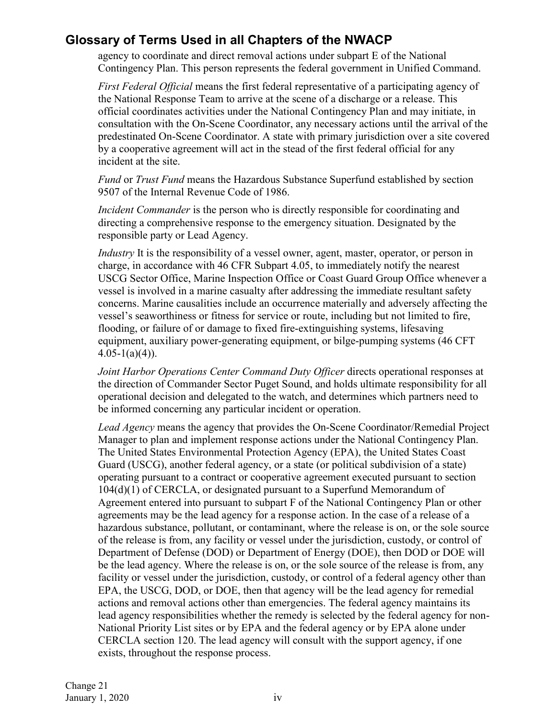agency to coordinate and direct removal actions under subpart E of the National Contingency Plan. This person represents the federal government in Unified Command.

*First Federal Official* means the first federal representative of a participating agency of the National Response Team to arrive at the scene of a discharge or a release. This official coordinates activities under the National Contingency Plan and may initiate, in consultation with the On-Scene Coordinator, any necessary actions until the arrival of the predestinated On-Scene Coordinator. A state with primary jurisdiction over a site covered by a cooperative agreement will act in the stead of the first federal official for any incident at the site.

*Fund* or *Trust Fund* means the Hazardous Substance Superfund established by section 9507 of the Internal Revenue Code of 1986.

*Incident Commander* is the person who is directly responsible for coordinating and directing a comprehensive response to the emergency situation. Designated by the responsible party or Lead Agency.

*Industry* It is the responsibility of a vessel owner, agent, master, operator, or person in charge, in accordance with 46 CFR Subpart 4.05, to immediately notify the nearest USCG Sector Office, Marine Inspection Office or Coast Guard Group Office whenever a vessel is involved in a marine casualty after addressing the immediate resultant safety concerns. Marine causalities include an occurrence materially and adversely affecting the vessel's seaworthiness or fitness for service or route, including but not limited to fire, flooding, or failure of or damage to fixed fire-extinguishing systems, lifesaving equipment, auxiliary power-generating equipment, or bilge-pumping systems (46 CFT  $4.05-1(a)(4)$ ).

*Joint Harbor Operations Center Command Duty Officer* directs operational responses at the direction of Commander Sector Puget Sound, and holds ultimate responsibility for all operational decision and delegated to the watch, and determines which partners need to be informed concerning any particular incident or operation.

*Lead Agency* means the agency that provides the On-Scene Coordinator/Remedial Project Manager to plan and implement response actions under the National Contingency Plan. The United States Environmental Protection Agency (EPA), the United States Coast Guard (USCG), another federal agency, or a state (or political subdivision of a state) operating pursuant to a contract or cooperative agreement executed pursuant to section 104(d)(1) of CERCLA, or designated pursuant to a Superfund Memorandum of Agreement entered into pursuant to subpart F of the National Contingency Plan or other agreements may be the lead agency for a response action. In the case of a release of a hazardous substance, pollutant, or contaminant, where the release is on, or the sole source of the release is from, any facility or vessel under the jurisdiction, custody, or control of Department of Defense (DOD) or Department of Energy (DOE), then DOD or DOE will be the lead agency. Where the release is on, or the sole source of the release is from, any facility or vessel under the jurisdiction, custody, or control of a federal agency other than EPA, the USCG, DOD, or DOE, then that agency will be the lead agency for remedial actions and removal actions other than emergencies. The federal agency maintains its lead agency responsibilities whether the remedy is selected by the federal agency for non-National Priority List sites or by EPA and the federal agency or by EPA alone under CERCLA section 120. The lead agency will consult with the support agency, if one exists, throughout the response process.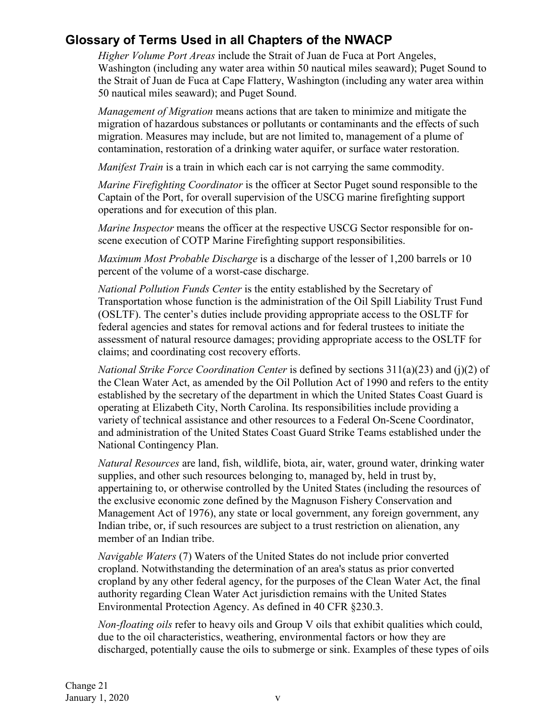*Higher Volume Port Areas* include the Strait of Juan de Fuca at Port Angeles, Washington (including any water area within 50 nautical miles seaward); Puget Sound to the Strait of Juan de Fuca at Cape Flattery, Washington (including any water area within 50 nautical miles seaward); and Puget Sound.

*Management of Migration* means actions that are taken to minimize and mitigate the migration of hazardous substances or pollutants or contaminants and the effects of such migration. Measures may include, but are not limited to, management of a plume of contamination, restoration of a drinking water aquifer, or surface water restoration.

*Manifest Train* is a train in which each car is not carrying the same commodity.

*Marine Firefighting Coordinator* is the officer at Sector Puget sound responsible to the Captain of the Port, for overall supervision of the USCG marine firefighting support operations and for execution of this plan.

*Marine Inspector* means the officer at the respective USCG Sector responsible for onscene execution of COTP Marine Firefighting support responsibilities.

*Maximum Most Probable Discharge* is a discharge of the lesser of 1,200 barrels or 10 percent of the volume of a worst-case discharge.

*National Pollution Funds Center* is the entity established by the Secretary of Transportation whose function is the administration of the Oil Spill Liability Trust Fund (OSLTF). The center's duties include providing appropriate access to the OSLTF for federal agencies and states for removal actions and for federal trustees to initiate the assessment of natural resource damages; providing appropriate access to the OSLTF for claims; and coordinating cost recovery efforts.

*National Strike Force Coordination Center* is defined by sections 311(a)(23) and (j)(2) of the Clean Water Act, as amended by the Oil Pollution Act of 1990 and refers to the entity established by the secretary of the department in which the United States Coast Guard is operating at Elizabeth City, North Carolina. Its responsibilities include providing a variety of technical assistance and other resources to a Federal On-Scene Coordinator, and administration of the United States Coast Guard Strike Teams established under the National Contingency Plan.

*Natural Resources* are land, fish, wildlife, biota, air, water, ground water, drinking water supplies, and other such resources belonging to, managed by, held in trust by, appertaining to, or otherwise controlled by the United States (including the resources of the exclusive economic zone defined by the Magnuson Fishery Conservation and Management Act of 1976), any state or local government, any foreign government, any Indian tribe, or, if such resources are subject to a trust restriction on alienation, any member of an Indian tribe.

*Navigable Waters* (7) Waters of the United States do not include prior converted cropland. Notwithstanding the determination of an area's status as prior converted cropland by any other federal agency, for the purposes of the Clean Water Act, the final authority regarding Clean Water Act jurisdiction remains with the United States Environmental Protection Agency. As defined in 40 CFR §230.3.

*Non-floating oils* refer to heavy oils and Group V oils that exhibit qualities which could, due to the oil characteristics, weathering, environmental factors or how they are discharged, potentially cause the oils to submerge or sink. Examples of these types of oils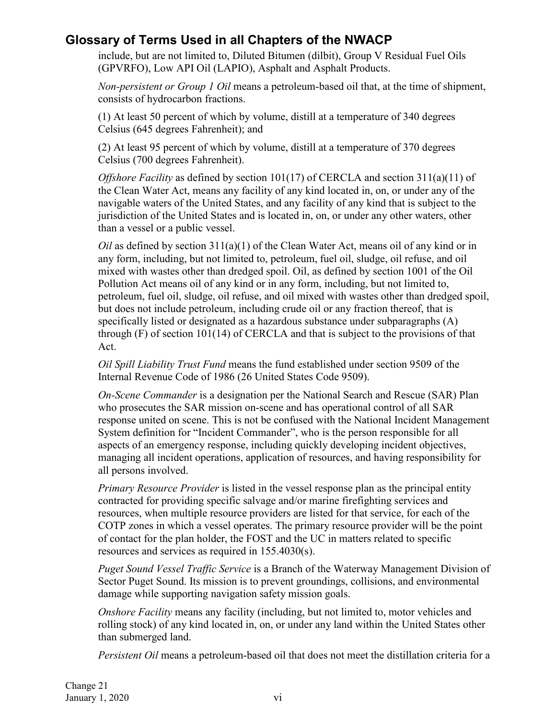include, but are not limited to, Diluted Bitumen (dilbit), Group V Residual Fuel Oils (GPVRFO), Low API Oil (LAPIO), Asphalt and Asphalt Products.

*Non-persistent or Group 1 Oil* means a petroleum-based oil that, at the time of shipment, consists of hydrocarbon fractions.

(1) At least 50 percent of which by volume, distill at a temperature of 340 degrees Celsius (645 degrees Fahrenheit); and

(2) At least 95 percent of which by volume, distill at a temperature of 370 degrees Celsius (700 degrees Fahrenheit).

*Offshore Facility* as defined by section 101(17) of CERCLA and section 311(a)(11) of the Clean Water Act, means any facility of any kind located in, on, or under any of the navigable waters of the United States, and any facility of any kind that is subject to the jurisdiction of the United States and is located in, on, or under any other waters, other than a vessel or a public vessel.

*Oil* as defined by section 311(a)(1) of the Clean Water Act, means oil of any kind or in any form, including, but not limited to, petroleum, fuel oil, sludge, oil refuse, and oil mixed with wastes other than dredged spoil. Oil, as defined by section 1001 of the Oil Pollution Act means oil of any kind or in any form, including, but not limited to, petroleum, fuel oil, sludge, oil refuse, and oil mixed with wastes other than dredged spoil, but does not include petroleum, including crude oil or any fraction thereof, that is specifically listed or designated as a hazardous substance under subparagraphs (A) through  $(F)$  of section 101(14) of CERCLA and that is subject to the provisions of that Act.

*Oil Spill Liability Trust Fund* means the fund established under section 9509 of the Internal Revenue Code of 1986 (26 United States Code 9509).

*On-Scene Commander* is a designation per the National Search and Rescue (SAR) Plan who prosecutes the SAR mission on-scene and has operational control of all SAR response united on scene. This is not be confused with the National Incident Management System definition for "Incident Commander", who is the person responsible for all aspects of an emergency response, including quickly developing incident objectives, managing all incident operations, application of resources, and having responsibility for all persons involved.

*Primary Resource Provider* is listed in the vessel response plan as the principal entity contracted for providing specific salvage and/or marine firefighting services and resources, when multiple resource providers are listed for that service, for each of the COTP zones in which a vessel operates. The primary resource provider will be the point of contact for the plan holder, the FOST and the UC in matters related to specific resources and services as required in 155.4030(s).

*Puget Sound Vessel Traffic Service* is a Branch of the Waterway Management Division of Sector Puget Sound. Its mission is to prevent groundings, collisions, and environmental damage while supporting navigation safety mission goals.

*Onshore Facility* means any facility (including, but not limited to, motor vehicles and rolling stock) of any kind located in, on, or under any land within the United States other than submerged land.

*Persistent Oil* means a petroleum-based oil that does not meet the distillation criteria for a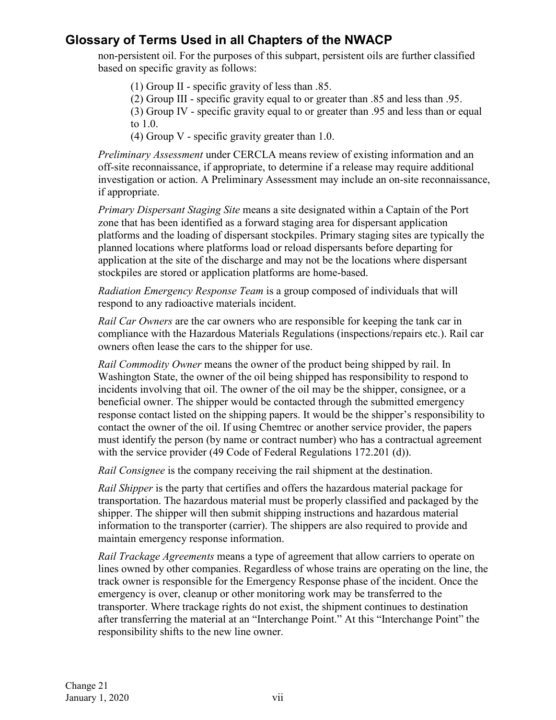non-persistent oil. For the purposes of this subpart, persistent oils are further classified based on specific gravity as follows:

(1) Group II - specific gravity of less than .85.

(2) Group III - specific gravity equal to or greater than .85 and less than .95.

(3) Group IV - specific gravity equal to or greater than .95 and less than or equal to 1.0.

(4) Group V - specific gravity greater than 1.0.

*Preliminary Assessment* under CERCLA means review of existing information and an off-site reconnaissance, if appropriate, to determine if a release may require additional investigation or action. A Preliminary Assessment may include an on-site reconnaissance, if appropriate.

*Primary Dispersant Staging Site* means a site designated within a Captain of the Port zone that has been identified as a forward staging area for dispersant application platforms and the loading of dispersant stockpiles. Primary staging sites are typically the planned locations where platforms load or reload dispersants before departing for application at the site of the discharge and may not be the locations where dispersant stockpiles are stored or application platforms are home-based.

*Radiation Emergency Response Team* is a group composed of individuals that will respond to any radioactive materials incident.

*Rail Car Owners* are the car owners who are responsible for keeping the tank car in compliance with the Hazardous Materials Regulations (inspections/repairs etc.). Rail car owners often lease the cars to the shipper for use.

*Rail Commodity Owner* means the owner of the product being shipped by rail. In Washington State, the owner of the oil being shipped has responsibility to respond to incidents involving that oil. The owner of the oil may be the shipper, consignee, or a beneficial owner. The shipper would be contacted through the submitted emergency response contact listed on the shipping papers. It would be the shipper's responsibility to contact the owner of the oil. If using Chemtrec or another service provider, the papers must identify the person (by name or contract number) who has a contractual agreement with the service provider (49 Code of Federal Regulations 172.201 (d)).

*Rail Consignee* is the company receiving the rail shipment at the destination.

*Rail Shipper* is the party that certifies and offers the hazardous material package for transportation. The hazardous material must be properly classified and packaged by the shipper. The shipper will then submit shipping instructions and hazardous material information to the transporter (carrier). The shippers are also required to provide and maintain emergency response information.

*Rail Trackage Agreements* means a type of agreement that allow carriers to operate on lines owned by other companies. Regardless of whose trains are operating on the line, the track owner is responsible for the Emergency Response phase of the incident. Once the emergency is over, cleanup or other monitoring work may be transferred to the transporter. Where trackage rights do not exist, the shipment continues to destination after transferring the material at an "Interchange Point." At this "Interchange Point" the responsibility shifts to the new line owner.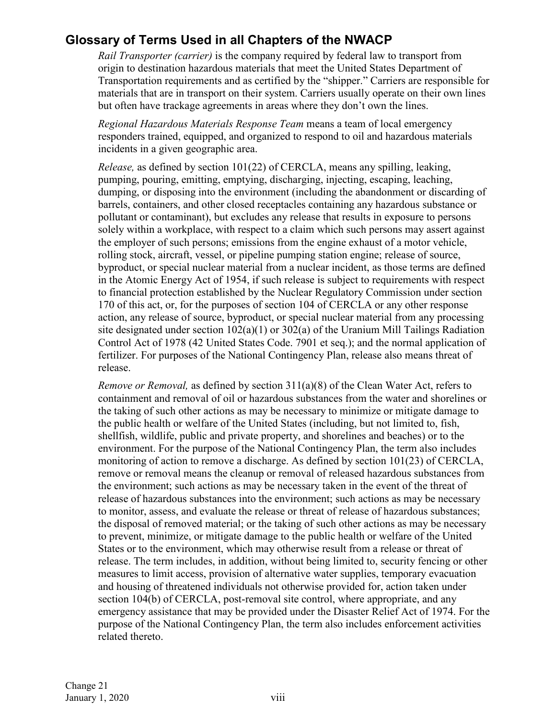*Rail Transporter (carrier)* is the company required by federal law to transport from origin to destination hazardous materials that meet the United States Department of Transportation requirements and as certified by the "shipper." Carriers are responsible for materials that are in transport on their system. Carriers usually operate on their own lines but often have trackage agreements in areas where they don't own the lines.

*Regional Hazardous Materials Response Team* means a team of local emergency responders trained, equipped, and organized to respond to oil and hazardous materials incidents in a given geographic area.

*Release,* as defined by section 101(22) of CERCLA, means any spilling, leaking, pumping, pouring, emitting, emptying, discharging, injecting, escaping, leaching, dumping, or disposing into the environment (including the abandonment or discarding of barrels, containers, and other closed receptacles containing any hazardous substance or pollutant or contaminant), but excludes any release that results in exposure to persons solely within a workplace, with respect to a claim which such persons may assert against the employer of such persons; emissions from the engine exhaust of a motor vehicle, rolling stock, aircraft, vessel, or pipeline pumping station engine; release of source, byproduct, or special nuclear material from a nuclear incident, as those terms are defined in the Atomic Energy Act of 1954, if such release is subject to requirements with respect to financial protection established by the Nuclear Regulatory Commission under section 170 of this act, or, for the purposes of section 104 of CERCLA or any other response action, any release of source, byproduct, or special nuclear material from any processing site designated under section 102(a)(1) or 302(a) of the Uranium Mill Tailings Radiation Control Act of 1978 (42 United States Code. 7901 et seq.); and the normal application of fertilizer. For purposes of the National Contingency Plan, release also means threat of release.

*Remove or Removal,* as defined by section 311(a)(8) of the Clean Water Act, refers to containment and removal of oil or hazardous substances from the water and shorelines or the taking of such other actions as may be necessary to minimize or mitigate damage to the public health or welfare of the United States (including, but not limited to, fish, shellfish, wildlife, public and private property, and shorelines and beaches) or to the environment. For the purpose of the National Contingency Plan, the term also includes monitoring of action to remove a discharge. As defined by section 101(23) of CERCLA, remove or removal means the cleanup or removal of released hazardous substances from the environment; such actions as may be necessary taken in the event of the threat of release of hazardous substances into the environment; such actions as may be necessary to monitor, assess, and evaluate the release or threat of release of hazardous substances; the disposal of removed material; or the taking of such other actions as may be necessary to prevent, minimize, or mitigate damage to the public health or welfare of the United States or to the environment, which may otherwise result from a release or threat of release. The term includes, in addition, without being limited to, security fencing or other measures to limit access, provision of alternative water supplies, temporary evacuation and housing of threatened individuals not otherwise provided for, action taken under section 104(b) of CERCLA, post-removal site control, where appropriate, and any emergency assistance that may be provided under the Disaster Relief Act of 1974. For the purpose of the National Contingency Plan, the term also includes enforcement activities related thereto.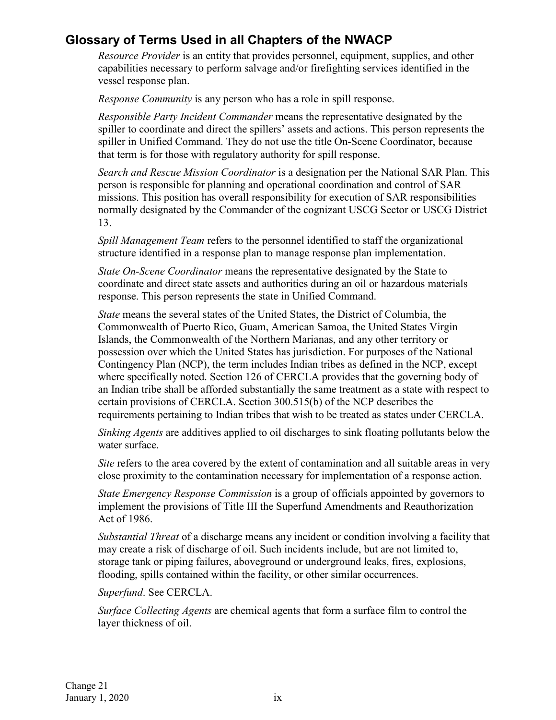*Resource Provider* is an entity that provides personnel, equipment, supplies, and other capabilities necessary to perform salvage and/or firefighting services identified in the vessel response plan.

*Response Community* is any person who has a role in spill response.

*Responsible Party Incident Commander* means the representative designated by the spiller to coordinate and direct the spillers' assets and actions. This person represents the spiller in Unified Command. They do not use the title On-Scene Coordinator, because that term is for those with regulatory authority for spill response.

*Search and Rescue Mission Coordinator* is a designation per the National SAR Plan. This person is responsible for planning and operational coordination and control of SAR missions. This position has overall responsibility for execution of SAR responsibilities normally designated by the Commander of the cognizant USCG Sector or USCG District 13.

*Spill Management Team* refers to the personnel identified to staff the organizational structure identified in a response plan to manage response plan implementation.

*State On-Scene Coordinator* means the representative designated by the State to coordinate and direct state assets and authorities during an oil or hazardous materials response. This person represents the state in Unified Command.

*State* means the several states of the United States, the District of Columbia, the Commonwealth of Puerto Rico, Guam, American Samoa, the United States Virgin Islands, the Commonwealth of the Northern Marianas, and any other territory or possession over which the United States has jurisdiction. For purposes of the National Contingency Plan (NCP), the term includes Indian tribes as defined in the NCP, except where specifically noted. Section 126 of CERCLA provides that the governing body of an Indian tribe shall be afforded substantially the same treatment as a state with respect to certain provisions of CERCLA. Section 300.515(b) of the NCP describes the requirements pertaining to Indian tribes that wish to be treated as states under CERCLA.

*Sinking Agents* are additives applied to oil discharges to sink floating pollutants below the water surface.

*Site* refers to the area covered by the extent of contamination and all suitable areas in very close proximity to the contamination necessary for implementation of a response action.

*State Emergency Response Commission* is a group of officials appointed by governors to implement the provisions of Title III the Superfund Amendments and Reauthorization Act of 1986.

*Substantial Threat* of a discharge means any incident or condition involving a facility that may create a risk of discharge of oil. Such incidents include, but are not limited to, storage tank or piping failures, aboveground or underground leaks, fires, explosions, flooding, spills contained within the facility, or other similar occurrences.

*Superfund*. See CERCLA.

*Surface Collecting Agents* are chemical agents that form a surface film to control the layer thickness of oil.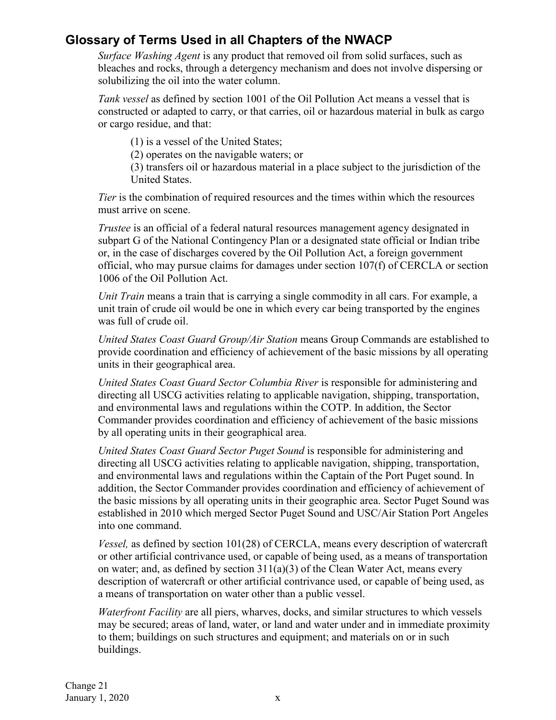*Surface Washing Agent* is any product that removed oil from solid surfaces, such as bleaches and rocks, through a detergency mechanism and does not involve dispersing or solubilizing the oil into the water column.

*Tank vessel* as defined by section 1001 of the Oil Pollution Act means a vessel that is constructed or adapted to carry, or that carries, oil or hazardous material in bulk as cargo or cargo residue, and that:

(1) is a vessel of the United States;

(2) operates on the navigable waters; or

(3) transfers oil or hazardous material in a place subject to the jurisdiction of the United States.

*Tier* is the combination of required resources and the times within which the resources must arrive on scene.

*Trustee* is an official of a federal natural resources management agency designated in subpart G of the National Contingency Plan or a designated state official or Indian tribe or, in the case of discharges covered by the Oil Pollution Act, a foreign government official, who may pursue claims for damages under section 107(f) of CERCLA or section 1006 of the Oil Pollution Act.

*Unit Train* means a train that is carrying a single commodity in all cars. For example, a unit train of crude oil would be one in which every car being transported by the engines was full of crude oil.

*United States Coast Guard Group/Air Station* means Group Commands are established to provide coordination and efficiency of achievement of the basic missions by all operating units in their geographical area.

*United States Coast Guard Sector Columbia River* is responsible for administering and directing all USCG activities relating to applicable navigation, shipping, transportation, and environmental laws and regulations within the COTP. In addition, the Sector Commander provides coordination and efficiency of achievement of the basic missions by all operating units in their geographical area.

*United States Coast Guard Sector Puget Sound* is responsible for administering and directing all USCG activities relating to applicable navigation, shipping, transportation, and environmental laws and regulations within the Captain of the Port Puget sound. In addition, the Sector Commander provides coordination and efficiency of achievement of the basic missions by all operating units in their geographic area. Sector Puget Sound was established in 2010 which merged Sector Puget Sound and USC/Air Station Port Angeles into one command.

*Vessel,* as defined by section 101(28) of CERCLA, means every description of watercraft or other artificial contrivance used, or capable of being used, as a means of transportation on water; and, as defined by section  $311(a)(3)$  of the Clean Water Act, means every description of watercraft or other artificial contrivance used, or capable of being used, as a means of transportation on water other than a public vessel.

*Waterfront Facility* are all piers, wharves, docks, and similar structures to which vessels may be secured; areas of land, water, or land and water under and in immediate proximity to them; buildings on such structures and equipment; and materials on or in such buildings.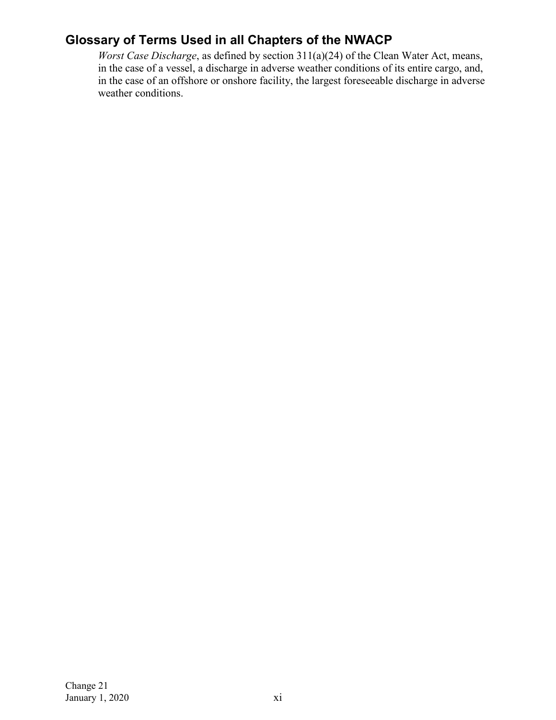*Worst Case Discharge*, as defined by section 311(a)(24) of the Clean Water Act, means, in the case of a vessel, a discharge in adverse weather conditions of its entire cargo, and, in the case of an offshore or onshore facility, the largest foreseeable discharge in adverse weather conditions.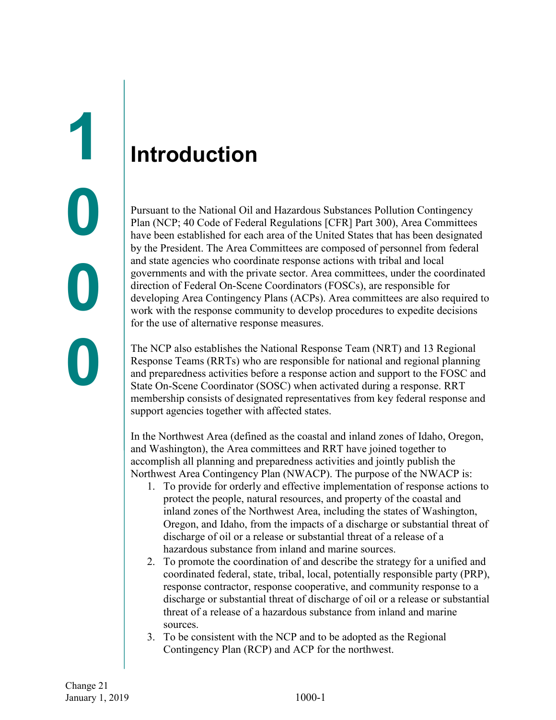## <span id="page-20-1"></span><span id="page-20-0"></span>**Introduction**

Pursuant to the National Oil and Hazardous Substances Pollution Contingency Plan (NCP; 40 Code of Federal Regulations [CFR] Part 300), Area Committees have been established for each area of the United States that has been designated by the President. The Area Committees are composed of personnel from federal and state agencies who coordinate response actions with tribal and local governments and with the private sector. Area committees, under the coordinated direction of Federal On-Scene Coordinators (FOSCs), are responsible for developing Area Contingency Plans (ACPs). Area committees are also required to work with the response community to develop procedures to expedite decisions for the use of alternative response measures.

The NCP also establishes the National Response Team (NRT) and 13 Regional Response Teams (RRTs) who are responsible for national and regional planning and preparedness activities before a response action and support to the FOSC and State On-Scene Coordinator (SOSC) when activated during a response. RRT membership consists of designated representatives from key federal response and support agencies together with affected states.

In the Northwest Area (defined as the coastal and inland zones of Idaho, Oregon, and Washington), the Area committees and RRT have joined together to accomplish all planning and preparedness activities and jointly publish the Northwest Area Contingency Plan (NWACP). The purpose of the NWACP is:

- 1. To provide for orderly and effective implementation of response actions to protect the people, natural resources, and property of the coastal and inland zones of the Northwest Area, including the states of Washington, Oregon, and Idaho, from the impacts of a discharge or substantial threat of discharge of oil or a release or substantial threat of a release of a hazardous substance from inland and marine sources.
- 2. To promote the coordination of and describe the strategy for a unified and coordinated federal, state, tribal, local, potentially responsible party (PRP), response contractor, response cooperative, and community response to a discharge or substantial threat of discharge of oil or a release or substantial threat of a release of a hazardous substance from inland and marine sources.
- 3. To be consistent with the NCP and to be adopted as the Regional Contingency Plan (RCP) and ACP for the northwest.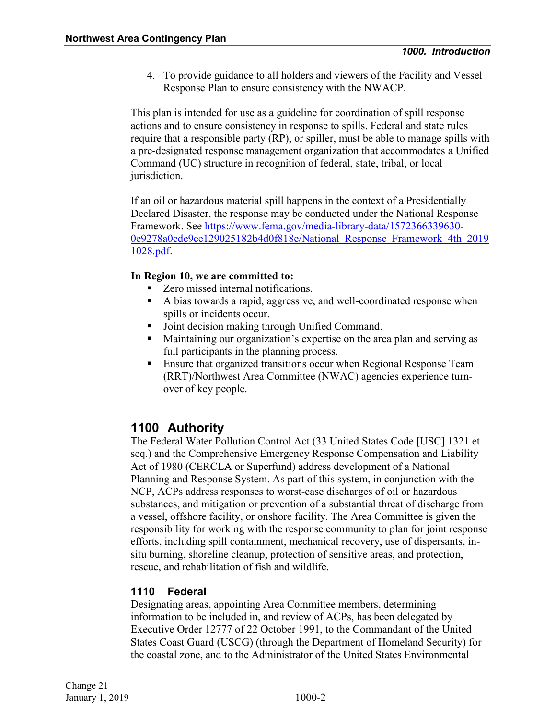4. To provide guidance to all holders and viewers of the Facility and Vessel Response Plan to ensure consistency with the NWACP.

This plan is intended for use as a guideline for coordination of spill response actions and to ensure consistency in response to spills. Federal and state rules require that a responsible party (RP), or spiller, must be able to manage spills with a pre-designated response management organization that accommodates a Unified Command (UC) structure in recognition of federal, state, tribal, or local jurisdiction.

If an oil or hazardous material spill happens in the context of a Presidentially Declared Disaster, the response may be conducted under the National Response Framework. See [https://www.fema.gov/media-library-data/1572366339630-](https://www.fema.gov/media-library-data/1572366339630-0e9278a0ede9ee129025182b4d0f818e/National_Response_Framework_4th_20191028.pdf) [0e9278a0ede9ee129025182b4d0f818e/National\\_Response\\_Framework\\_4th\\_2019](https://www.fema.gov/media-library-data/1572366339630-0e9278a0ede9ee129025182b4d0f818e/National_Response_Framework_4th_20191028.pdf) [1028.pdf.](https://www.fema.gov/media-library-data/1572366339630-0e9278a0ede9ee129025182b4d0f818e/National_Response_Framework_4th_20191028.pdf)

#### **In Region 10, we are committed to:**

- Zero missed internal notifications.
- A bias towards a rapid, aggressive, and well-coordinated response when spills or incidents occur.
- Joint decision making through Unified Command.
- Maintaining our organization's expertise on the area plan and serving as full participants in the planning process.
- Ensure that organized transitions occur when Regional Response Team (RRT)/Northwest Area Committee (NWAC) agencies experience turnover of key people.

#### <span id="page-21-0"></span>**1100 Authority**

The Federal Water Pollution Control Act (33 United States Code [USC] 1321 et seq.) and the Comprehensive Emergency Response Compensation and Liability Act of 1980 (CERCLA or Superfund) address development of a National Planning and Response System. As part of this system, in conjunction with the NCP, ACPs address responses to worst-case discharges of oil or hazardous substances, and mitigation or prevention of a substantial threat of discharge from a vessel, offshore facility, or onshore facility. The Area Committee is given the responsibility for working with the response community to plan for joint response efforts, including spill containment, mechanical recovery, use of dispersants, insitu burning, shoreline cleanup, protection of sensitive areas, and protection, rescue, and rehabilitation of fish and wildlife.

#### <span id="page-21-1"></span>**1110 Federal**

Designating areas, appointing Area Committee members, determining information to be included in, and review of ACPs, has been delegated by Executive Order 12777 of 22 October 1991, to the Commandant of the United States Coast Guard (USCG) (through the Department of Homeland Security) for the coastal zone, and to the Administrator of the United States Environmental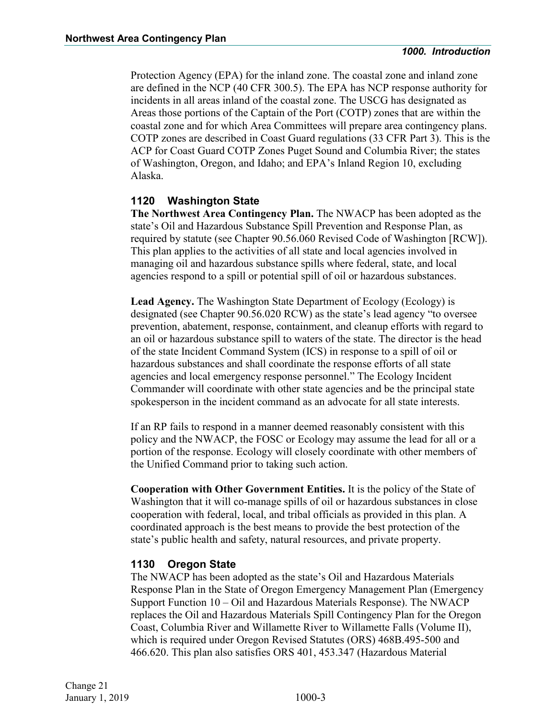Protection Agency (EPA) for the inland zone. The coastal zone and inland zone are defined in the NCP (40 CFR 300.5). The EPA has NCP response authority for incidents in all areas inland of the coastal zone. The USCG has designated as Areas those portions of the Captain of the Port (COTP) zones that are within the coastal zone and for which Area Committees will prepare area contingency plans. COTP zones are described in Coast Guard regulations (33 CFR Part 3). This is the ACP for Coast Guard COTP Zones Puget Sound and Columbia River; the states of Washington, Oregon, and Idaho; and EPA's Inland Region 10, excluding Alaska.

#### <span id="page-22-0"></span>**1120 Washington State**

**The Northwest Area Contingency Plan.** The NWACP has been adopted as the state's Oil and Hazardous Substance Spill Prevention and Response Plan, as required by statute (see Chapter 90.56.060 Revised Code of Washington [RCW]). This plan applies to the activities of all state and local agencies involved in managing oil and hazardous substance spills where federal, state, and local agencies respond to a spill or potential spill of oil or hazardous substances.

**Lead Agency.** The Washington State Department of Ecology (Ecology) is designated (see Chapter 90.56.020 RCW) as the state's lead agency "to oversee prevention, abatement, response, containment, and cleanup efforts with regard to an oil or hazardous substance spill to waters of the state. The director is the head of the state Incident Command System (ICS) in response to a spill of oil or hazardous substances and shall coordinate the response efforts of all state agencies and local emergency response personnel." The Ecology Incident Commander will coordinate with other state agencies and be the principal state spokesperson in the incident command as an advocate for all state interests.

If an RP fails to respond in a manner deemed reasonably consistent with this policy and the NWACP, the FOSC or Ecology may assume the lead for all or a portion of the response. Ecology will closely coordinate with other members of the Unified Command prior to taking such action.

**Cooperation with Other Government Entities.** It is the policy of the State of Washington that it will co-manage spills of oil or hazardous substances in close cooperation with federal, local, and tribal officials as provided in this plan. A coordinated approach is the best means to provide the best protection of the state's public health and safety, natural resources, and private property.

#### <span id="page-22-1"></span>**1130 Oregon State**

The NWACP has been adopted as the state's Oil and Hazardous Materials Response Plan in the State of Oregon Emergency Management Plan (Emergency Support Function 10 – Oil and Hazardous Materials Response). The NWACP replaces the Oil and Hazardous Materials Spill Contingency Plan for the Oregon Coast, Columbia River and Willamette River to Willamette Falls (Volume II), which is required under Oregon Revised Statutes (ORS) 468B.495-500 and 466.620. This plan also satisfies ORS 401, 453.347 (Hazardous Material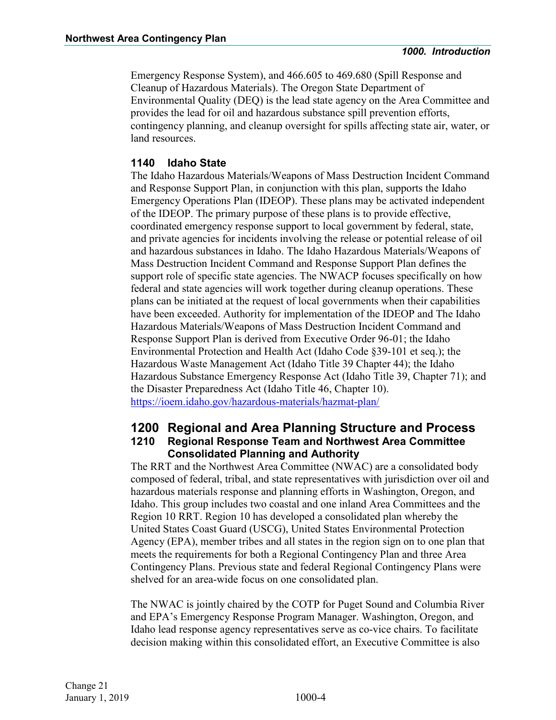Emergency Response System), and 466.605 to 469.680 (Spill Response and Cleanup of Hazardous Materials). The Oregon State Department of Environmental Quality (DEQ) is the lead state agency on the Area Committee and provides the lead for oil and hazardous substance spill prevention efforts, contingency planning, and cleanup oversight for spills affecting state air, water, or land resources.

#### <span id="page-23-0"></span>**1140 Idaho State**

The Idaho Hazardous Materials/Weapons of Mass Destruction Incident Command and Response Support Plan, in conjunction with this plan, supports the Idaho Emergency Operations Plan (IDEOP). These plans may be activated independent of the IDEOP. The primary purpose of these plans is to provide effective, coordinated emergency response support to local government by federal, state, and private agencies for incidents involving the release or potential release of oil and hazardous substances in Idaho. The Idaho Hazardous Materials/Weapons of Mass Destruction Incident Command and Response Support Plan defines the support role of specific state agencies. The NWACP focuses specifically on how federal and state agencies will work together during cleanup operations. These plans can be initiated at the request of local governments when their capabilities have been exceeded. Authority for implementation of the IDEOP and The Idaho Hazardous Materials/Weapons of Mass Destruction Incident Command and Response Support Plan is derived from Executive Order 96-01; the Idaho Environmental Protection and Health Act (Idaho Code §39-101 et seq.); the Hazardous Waste Management Act (Idaho Title 39 Chapter 44); the Idaho Hazardous Substance Emergency Response Act (Idaho Title 39, Chapter 71); and the Disaster Preparedness Act (Idaho Title 46, Chapter 10). <https://ioem.idaho.gov/hazardous-materials/hazmat-plan/>

#### <span id="page-23-2"></span><span id="page-23-1"></span>**1200 Regional and Area Planning Structure and Process 1210 Regional Response Team and Northwest Area Committee Consolidated Planning and Authority**

The RRT and the Northwest Area Committee (NWAC) are a consolidated body composed of federal, tribal, and state representatives with jurisdiction over oil and hazardous materials response and planning efforts in Washington, Oregon, and Idaho. This group includes two coastal and one inland Area Committees and the Region 10 RRT. Region 10 has developed a consolidated plan whereby the United States Coast Guard (USCG), United States Environmental Protection Agency (EPA), member tribes and all states in the region sign on to one plan that meets the requirements for both a Regional Contingency Plan and three Area Contingency Plans. Previous state and federal Regional Contingency Plans were shelved for an area-wide focus on one consolidated plan.

The NWAC is jointly chaired by the COTP for Puget Sound and Columbia River and EPA's Emergency Response Program Manager. Washington, Oregon, and Idaho lead response agency representatives serve as co-vice chairs. To facilitate decision making within this consolidated effort, an Executive Committee is also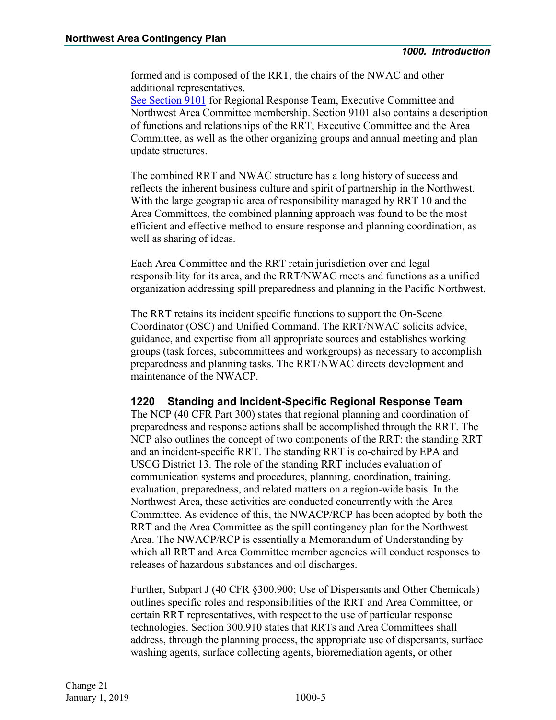formed and is composed of the RRT, the chairs of the NWAC and other additional representatives.

See Section 9101 for Regional Response Team, Executive Committee and Northwest Area Committee membership. Section 9101 also contains a description of functions and relationships of the RRT, Executive Committee and the Area Committee, as well as the other organizing groups and annual meeting and plan update structures.

The combined RRT and NWAC structure has a long history of success and reflects the inherent business culture and spirit of partnership in the Northwest. With the large geographic area of responsibility managed by RRT 10 and the Area Committees, the combined planning approach was found to be the most efficient and effective method to ensure response and planning coordination, as well as sharing of ideas.

Each Area Committee and the RRT retain jurisdiction over and legal responsibility for its area, and the RRT/NWAC meets and functions as a unified organization addressing spill preparedness and planning in the Pacific Northwest.

The RRT retains its incident specific functions to support the On-Scene Coordinator (OSC) and Unified Command. The RRT/NWAC solicits advice, guidance, and expertise from all appropriate sources and establishes working groups (task forces, subcommittees and workgroups) as necessary to accomplish preparedness and planning tasks. The RRT/NWAC directs development and maintenance of the NWACP.

#### <span id="page-24-0"></span>**1220 Standing and Incident-Specific Regional Response Team**

The NCP (40 CFR Part 300) states that regional planning and coordination of preparedness and response actions shall be accomplished through the RRT. The NCP also outlines the concept of two components of the RRT: the standing RRT and an incident-specific RRT. The standing RRT is co-chaired by EPA and USCG District 13. The role of the standing RRT includes evaluation of communication systems and procedures, planning, coordination, training, evaluation, preparedness, and related matters on a region-wide basis. In the Northwest Area, these activities are conducted concurrently with the Area Committee. As evidence of this, the NWACP/RCP has been adopted by both the RRT and the Area Committee as the spill contingency plan for the Northwest Area. The NWACP/RCP is essentially a Memorandum of Understanding by which all RRT and Area Committee member agencies will conduct responses to releases of hazardous substances and oil discharges.

Further, Subpart J (40 CFR §300.900; Use of Dispersants and Other Chemicals) outlines specific roles and responsibilities of the RRT and Area Committee, or certain RRT representatives, with respect to the use of particular response technologies. Section 300.910 states that RRTs and Area Committees shall address, through the planning process, the appropriate use of dispersants, surface washing agents, surface collecting agents, bioremediation agents, or other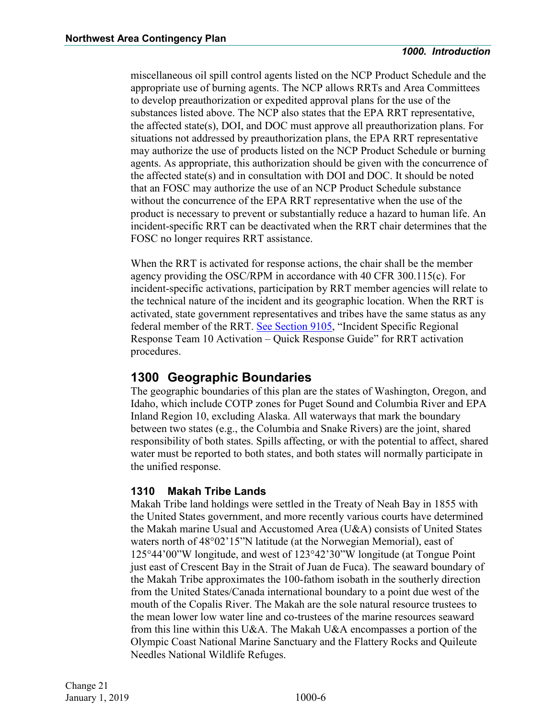miscellaneous oil spill control agents listed on the NCP Product Schedule and the appropriate use of burning agents. The NCP allows RRTs and Area Committees to develop preauthorization or expedited approval plans for the use of the substances listed above. The NCP also states that the EPA RRT representative, the affected state(s), DOI, and DOC must approve all preauthorization plans. For situations not addressed by preauthorization plans, the EPA RRT representative may authorize the use of products listed on the NCP Product Schedule or burning agents. As appropriate, this authorization should be given with the concurrence of the affected state(s) and in consultation with DOI and DOC. It should be noted that an FOSC may authorize the use of an NCP Product Schedule substance without the concurrence of the EPA RRT representative when the use of the product is necessary to prevent or substantially reduce a hazard to human life. An incident-specific RRT can be deactivated when the RRT chair determines that the FOSC no longer requires RRT assistance.

When the RRT is activated for response actions, the chair shall be the member agency providing the OSC/RPM in accordance with 40 CFR 300.115(c). For incident-specific activations, participation by RRT member agencies will relate to the technical nature of the incident and its geographic location. When the RRT is activated, state government representatives and tribes have the same status as any federal member of the RRT. See Section 9105, "Incident Specific Regional Response Team 10 Activation – Quick Response Guide" for RRT activation procedures.

#### <span id="page-25-0"></span>**1300 Geographic Boundaries**

The geographic boundaries of this plan are the states of Washington, Oregon, and Idaho, which include COTP zones for Puget Sound and Columbia River and EPA Inland Region 10, excluding Alaska. All waterways that mark the boundary between two states (e.g., the Columbia and Snake Rivers) are the joint, shared responsibility of both states. Spills affecting, or with the potential to affect, shared water must be reported to both states, and both states will normally participate in the unified response.

#### <span id="page-25-1"></span>**1310 Makah Tribe Lands**

Makah Tribe land holdings were settled in the Treaty of Neah Bay in 1855 with the United States government, and more recently various courts have determined the Makah marine Usual and Accustomed Area (U&A) consists of United States waters north of 48°02'15"N latitude (at the Norwegian Memorial), east of 125°44'00"W longitude, and west of 123°42'30"W longitude (at Tongue Point just east of Crescent Bay in the Strait of Juan de Fuca). The seaward boundary of the Makah Tribe approximates the 100-fathom isobath in the southerly direction from the United States/Canada international boundary to a point due west of the mouth of the Copalis River. The Makah are the sole natural resource trustees to the mean lower low water line and co-trustees of the marine resources seaward from this line within this U&A. The Makah U&A encompasses a portion of the Olympic Coast National Marine Sanctuary and the Flattery Rocks and Quileute Needles National Wildlife Refuges.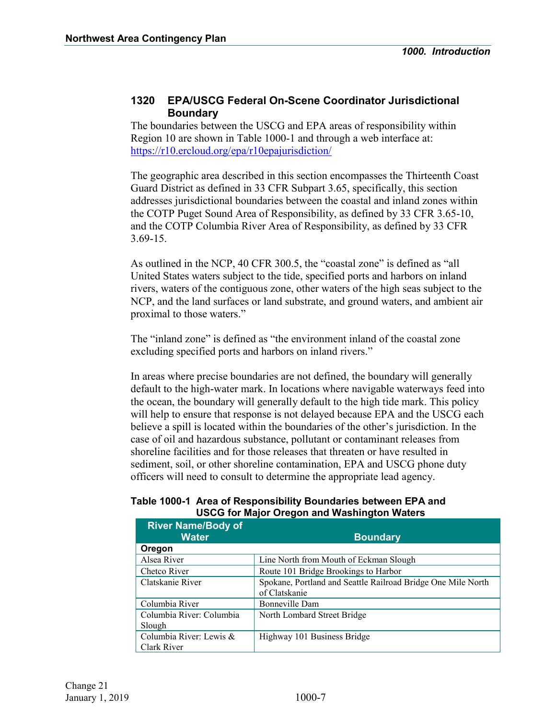#### <span id="page-26-0"></span>**1320 EPA/USCG Federal On-Scene Coordinator Jurisdictional Boundary**

The boundaries between the USCG and EPA areas of responsibility within Region 10 are shown in Table 1000-1 and through a web interface at: <https://r10.ercloud.org/epa/r10epajurisdiction/>

The geographic area described in this section encompasses the Thirteenth Coast Guard District as defined in 33 CFR Subpart 3.65, specifically, this section addresses jurisdictional boundaries between the coastal and inland zones within the COTP Puget Sound Area of Responsibility, as defined by 33 CFR 3.65-10, and the COTP Columbia River Area of Responsibility, as defined by 33 CFR 3.69-15.

As outlined in the NCP, 40 CFR 300.5, the "coastal zone" is defined as "all United States waters subject to the tide, specified ports and harbors on inland rivers, waters of the contiguous zone, other waters of the high seas subject to the NCP, and the land surfaces or land substrate, and ground waters, and ambient air proximal to those waters."

The "inland zone" is defined as "the environment inland of the coastal zone excluding specified ports and harbors on inland rivers."

In areas where precise boundaries are not defined, the boundary will generally default to the high-water mark. In locations where navigable waterways feed into the ocean, the boundary will generally default to the high tide mark. This policy will help to ensure that response is not delayed because EPA and the USCG each believe a spill is located within the boundaries of the other's jurisdiction. In the case of oil and hazardous substance, pollutant or contaminant releases from shoreline facilities and for those releases that threaten or have resulted in sediment, soil, or other shoreline contamination, EPA and USCG phone duty officers will need to consult to determine the appropriate lead agency.

| Table 1000-1 Area of Responsibility Boundaries between EPA and |
|----------------------------------------------------------------|
| <b>USCG for Major Oregon and Washington Waters</b>             |

| <b>River Name/Body of</b><br><b>Water</b> | <b>Boundary</b>                                                               |
|-------------------------------------------|-------------------------------------------------------------------------------|
| Oregon                                    |                                                                               |
| Alsea River                               | Line North from Mouth of Eckman Slough                                        |
| Chetco River                              | Route 101 Bridge Brookings to Harbor                                          |
| Clatskanie River                          | Spokane, Portland and Seattle Railroad Bridge One Mile North<br>of Clatskanie |
| Columbia River                            | Bonneville Dam                                                                |
| Columbia River: Columbia<br>Slough        | North Lombard Street Bridge                                                   |
| Columbia River: Lewis &<br>Clark River    | Highway 101 Business Bridge                                                   |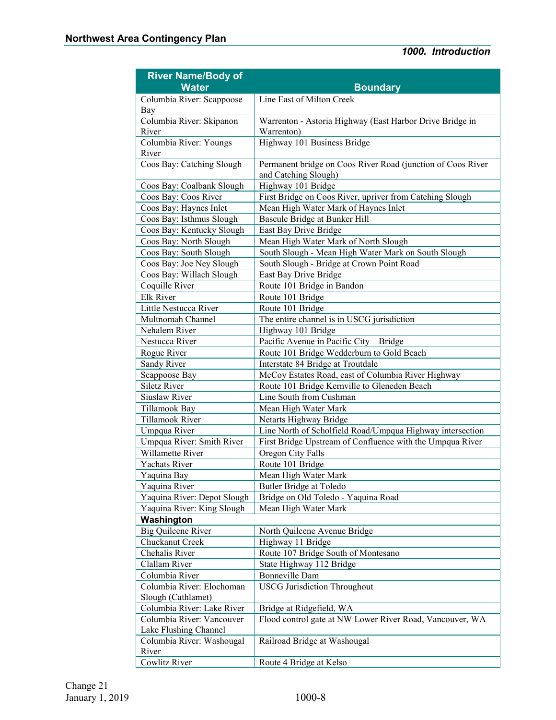| <b>River Name/Body of</b>   |                                                             |
|-----------------------------|-------------------------------------------------------------|
| <b>Water</b>                | <b>Boundary</b>                                             |
| Columbia River: Scappoose   | Line East of Milton Creek                                   |
| Bay                         |                                                             |
| Columbia River: Skipanon    | Warrenton - Astoria Highway (East Harbor Drive Bridge in    |
| River                       | Warrenton)                                                  |
| Columbia River: Youngs      | Highway 101 Business Bridge                                 |
| River                       |                                                             |
| Coos Bay: Catching Slough   | Permanent bridge on Coos River Road (junction of Coos River |
|                             | and Catching Slough)                                        |
| Coos Bay: Coalbank Slough   | Highway 101 Bridge                                          |
| Coos Bay: Coos River        | First Bridge on Coos River, upriver from Catching Slough    |
| Coos Bay: Haynes Inlet      | Mean High Water Mark of Haynes Inlet                        |
| Coos Bay: Isthmus Slough    | Bascule Bridge at Bunker Hill                               |
| Coos Bay: Kentucky Slough   | East Bay Drive Bridge                                       |
| Coos Bay: North Slough      | Mean High Water Mark of North Slough                        |
| Coos Bay: South Slough      | South Slough - Mean High Water Mark on South Slough         |
| Coos Bay: Joe Ney Slough    | South Slough - Bridge at Crown Point Road                   |
| Coos Bay: Willach Slough    | East Bay Drive Bridge                                       |
| Coquille River<br>Elk River | Route 101 Bridge in Bandon                                  |
| Little Nestucca River       | Route 101 Bridge<br>Route 101 Bridge                        |
| Multnomah Channel           | The entire channel is in USCG jurisdiction                  |
| Nehalem River               | Highway 101 Bridge                                          |
| Nestucca River              | Pacific Avenue in Pacific City - Bridge                     |
| Rogue River                 | Route 101 Bridge Wedderburn to Gold Beach                   |
| Sandy River                 | Interstate 84 Bridge at Troutdale                           |
| Scappoose Bay               | McCoy Estates Road, east of Columbia River Highway          |
| <b>Siletz River</b>         | Route 101 Bridge Kernville to Gleneden Beach                |
| Siuslaw River               | Line South from Cushman                                     |
| Tillamook Bay               | Mean High Water Mark                                        |
| Tillamook River             | Netarts Highway Bridge                                      |
| Umpqua River                | Line North of Scholfield Road/Umpqua Highway intersection   |
| Umpqua River: Smith River   | First Bridge Upstream of Confluence with the Umpqua River   |
| Willamette River            | Oregon City Falls                                           |
| <b>Yachats River</b>        | Route 101 Bridge                                            |
| Yaquina Bay                 | Mean High Water Mark                                        |
| Yaquina River               | <b>Butler Bridge at Toledo</b>                              |
| Yaquina River: Depot Slough | Bridge on Old Toledo - Yaquina Road                         |
| Yaquina River: King Slough  | Mean High Water Mark                                        |
| Washington                  |                                                             |
| <b>Big Quilcene River</b>   | North Quilcene Avenue Bridge                                |
| Chuckanut Creek             | Highway 11 Bridge                                           |
| Chehalis River              | Route 107 Bridge South of Montesano                         |
| Clallam River               | State Highway 112 Bridge                                    |
| Columbia River              | <b>Bonneville Dam</b>                                       |
| Columbia River: Elochoman   | <b>USCG</b> Jurisdiction Throughout                         |
| Slough (Cathlamet)          |                                                             |
| Columbia River: Lake River  | Bridge at Ridgefield, WA                                    |
| Columbia River: Vancouver   | Flood control gate at NW Lower River Road, Vancouver, WA    |
| Lake Flushing Channel       |                                                             |
| Columbia River: Washougal   | Railroad Bridge at Washougal                                |
| River                       |                                                             |
| Cowlitz River               | Route 4 Bridge at Kelso                                     |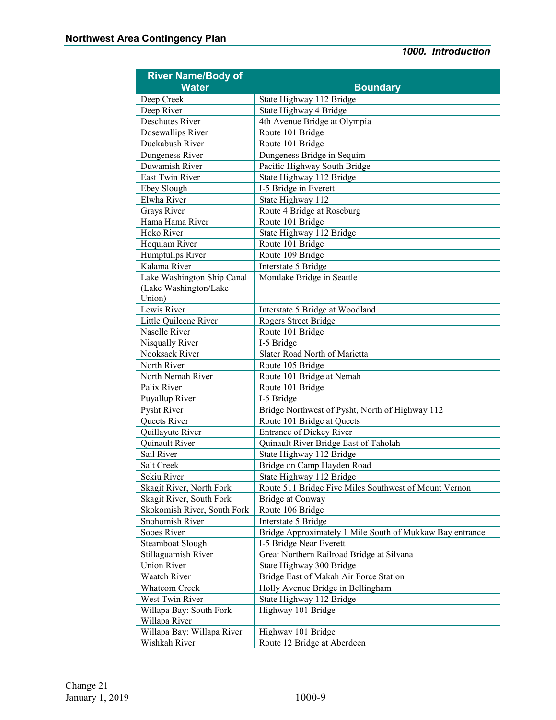| <b>River Name/Body of</b>   |                                                          |
|-----------------------------|----------------------------------------------------------|
| <b>Water</b>                | <b>Boundary</b>                                          |
| Deep Creek                  | State Highway 112 Bridge                                 |
| Deep River                  | State Highway 4 Bridge                                   |
| <b>Deschutes River</b>      | 4th Avenue Bridge at Olympia                             |
| Dosewallips River           | Route 101 Bridge                                         |
| Duckabush River             | Route 101 Bridge                                         |
| Dungeness River             | Dungeness Bridge in Sequim                               |
| Duwamish River              | Pacific Highway South Bridge                             |
| East Twin River             | State Highway 112 Bridge                                 |
| Ebey Slough                 | I-5 Bridge in Everett                                    |
| Elwha River                 | State Highway 112                                        |
| Grays River                 | Route 4 Bridge at Roseburg                               |
| Hama Hama River             | Route 101 Bridge                                         |
| Hoko River                  | State Highway 112 Bridge                                 |
| Hoquiam River               | Route 101 Bridge                                         |
| Humptulips River            | Route 109 Bridge                                         |
| Kalama River                | Interstate 5 Bridge                                      |
| Lake Washington Ship Canal  | Montlake Bridge in Seattle                               |
| (Lake Washington/Lake       |                                                          |
| Union)                      |                                                          |
| Lewis River                 | Interstate 5 Bridge at Woodland                          |
| Little Quilcene River       | Rogers Street Bridge                                     |
| Naselle River               | Route 101 Bridge                                         |
| Nisqually River             | I-5 Bridge                                               |
| Nooksack River              | Slater Road North of Marietta                            |
| North River                 | Route 105 Bridge                                         |
| North Nemah River           | Route 101 Bridge at Nemah                                |
| Palix River                 | Route 101 Bridge                                         |
| Puyallup River              | I-5 Bridge                                               |
| Pysht River                 | Bridge Northwest of Pysht, North of Highway 112          |
| Queets River                | Route 101 Bridge at Queets                               |
| Quillayute River            | <b>Entrance of Dickey River</b>                          |
| Quinault River              | Quinault River Bridge East of Taholah                    |
| Sail River                  | State Highway 112 Bridge                                 |
| Salt Creek                  | Bridge on Camp Hayden Road                               |
| Sekiu River                 | State Highway 112 Bridge                                 |
| Skagit River, North Fork    | Route 511 Bridge Five Miles Southwest of Mount Vernon    |
| Skagit River, South Fork    | Bridge at Conway                                         |
| Skokomish River, South Fork | Route 106 Bridge                                         |
| Snohomish River             | Interstate 5 Bridge                                      |
| Sooes River                 | Bridge Approximately 1 Mile South of Mukkaw Bay entrance |
| Steamboat Slough            | I-5 Bridge Near Everett                                  |
| Stillaguamish River         | Great Northern Railroad Bridge at Silvana                |
| Union River                 | State Highway 300 Bridge                                 |
| Waatch River                | Bridge East of Makah Air Force Station                   |
| <b>Whatcom Creek</b>        | Holly Avenue Bridge in Bellingham                        |
| West Twin River             | State Highway 112 Bridge                                 |
| Willapa Bay: South Fork     | Highway 101 Bridge                                       |
| Willapa River               |                                                          |
| Willapa Bay: Willapa River  | Highway 101 Bridge                                       |
| Wishkah River               | Route 12 Bridge at Aberdeen                              |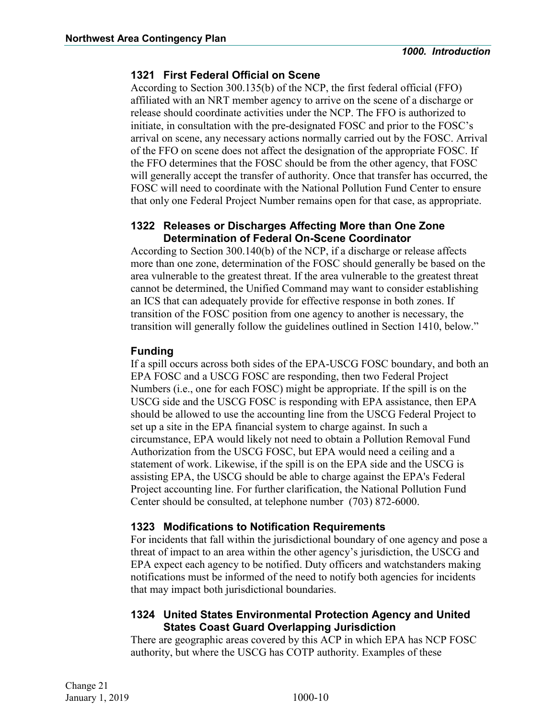#### **1321 First Federal Official on Scene**

According to Section 300.135(b) of the NCP, the first federal official (FFO) affiliated with an NRT member agency to arrive on the scene of a discharge or release should coordinate activities under the NCP. The FFO is authorized to initiate, in consultation with the pre-designated FOSC and prior to the FOSC's arrival on scene, any necessary actions normally carried out by the FOSC. Arrival of the FFO on scene does not affect the designation of the appropriate FOSC. If the FFO determines that the FOSC should be from the other agency, that FOSC will generally accept the transfer of authority. Once that transfer has occurred, the FOSC will need to coordinate with the National Pollution Fund Center to ensure that only one Federal Project Number remains open for that case, as appropriate.

#### **1322 Releases or Discharges Affecting More than One Zone Determination of Federal On-Scene Coordinator**

According to Section 300.140(b) of the NCP, if a discharge or release affects more than one zone, determination of the FOSC should generally be based on the area vulnerable to the greatest threat. If the area vulnerable to the greatest threat cannot be determined, the Unified Command may want to consider establishing an ICS that can adequately provide for effective response in both zones. If transition of the FOSC position from one agency to another is necessary, the transition will generally follow the guidelines outlined in Section 1410, below."

#### **Funding**

If a spill occurs across both sides of the EPA-USCG FOSC boundary, and both an EPA FOSC and a USCG FOSC are responding, then two Federal Project Numbers (i.e., one for each FOSC) might be appropriate. If the spill is on the USCG side and the USCG FOSC is responding with EPA assistance, then EPA should be allowed to use the accounting line from the USCG Federal Project to set up a site in the EPA financial system to charge against. In such a circumstance, EPA would likely not need to obtain a Pollution Removal Fund Authorization from the USCG FOSC, but EPA would need a ceiling and a statement of work. Likewise, if the spill is on the EPA side and the USCG is assisting EPA, the USCG should be able to charge against the EPA's Federal Project accounting line. For further clarification, the National Pollution Fund Center should be consulted, at telephone number (703) 872-6000.

#### **1323 Modifications to Notification Requirements**

For incidents that fall within the jurisdictional boundary of one agency and pose a threat of impact to an area within the other agency's jurisdiction, the USCG and EPA expect each agency to be notified. Duty officers and watchstanders making notifications must be informed of the need to notify both agencies for incidents that may impact both jurisdictional boundaries.

#### **1324 United States Environmental Protection Agency and United States Coast Guard Overlapping Jurisdiction**

There are geographic areas covered by this ACP in which EPA has NCP FOSC authority, but where the USCG has COTP authority. Examples of these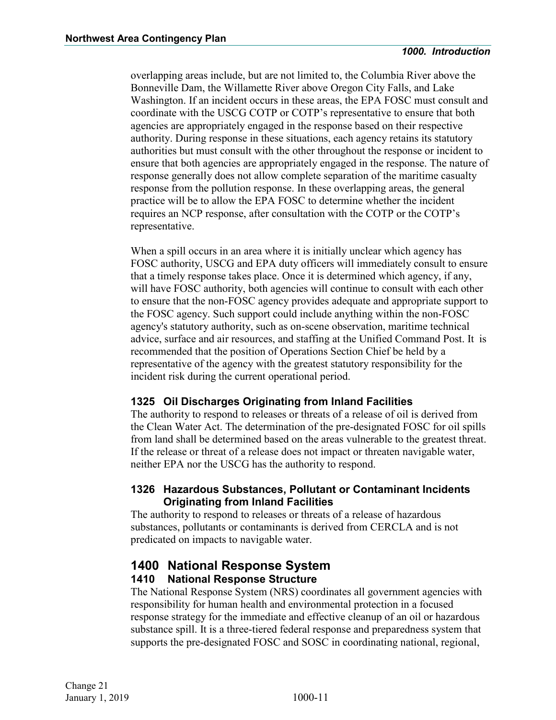overlapping areas include, but are not limited to, the Columbia River above the Bonneville Dam, the Willamette River above Oregon City Falls, and Lake Washington. If an incident occurs in these areas, the EPA FOSC must consult and coordinate with the USCG COTP or COTP's representative to ensure that both agencies are appropriately engaged in the response based on their respective authority. During response in these situations, each agency retains its statutory authorities but must consult with the other throughout the response or incident to ensure that both agencies are appropriately engaged in the response. The nature of response generally does not allow complete separation of the maritime casualty response from the pollution response. In these overlapping areas, the general practice will be to allow the EPA FOSC to determine whether the incident requires an NCP response, after consultation with the COTP or the COTP's representative.

When a spill occurs in an area where it is initially unclear which agency has FOSC authority, USCG and EPA duty officers will immediately consult to ensure that a timely response takes place. Once it is determined which agency, if any, will have FOSC authority, both agencies will continue to consult with each other to ensure that the non-FOSC agency provides adequate and appropriate support to the FOSC agency. Such support could include anything within the non-FOSC agency's statutory authority, such as on-scene observation, maritime technical advice, surface and air resources, and staffing at the Unified Command Post. It is recommended that the position of Operations Section Chief be held by a representative of the agency with the greatest statutory responsibility for the incident risk during the current operational period.

#### **1325 Oil Discharges Originating from Inland Facilities**

The authority to respond to releases or threats of a release of oil is derived from the Clean Water Act. The determination of the pre-designated FOSC for oil spills from land shall be determined based on the areas vulnerable to the greatest threat. If the release or threat of a release does not impact or threaten navigable water, neither EPA nor the USCG has the authority to respond.

#### **1326 Hazardous Substances, Pollutant or Contaminant Incidents Originating from Inland Facilities**

The authority to respond to releases or threats of a release of hazardous substances, pollutants or contaminants is derived from CERCLA and is not predicated on impacts to navigable water.

#### <span id="page-30-0"></span>**1400 National Response System 1410 National Response Structure**

<span id="page-30-1"></span>The National Response System (NRS) coordinates all government agencies with responsibility for human health and environmental protection in a focused response strategy for the immediate and effective cleanup of an oil or hazardous substance spill. It is a three-tiered federal response and preparedness system that supports the pre-designated FOSC and SOSC in coordinating national, regional,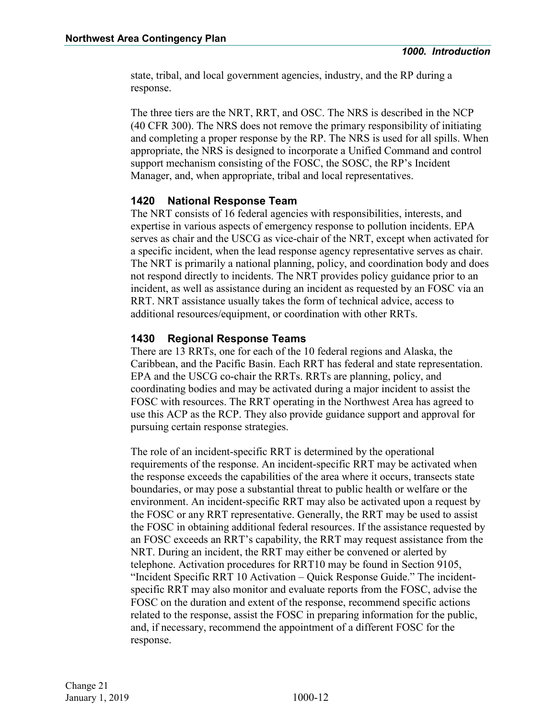state, tribal, and local government agencies, industry, and the RP during a response.

The three tiers are the NRT, RRT, and OSC. The NRS is described in the NCP (40 CFR 300). The NRS does not remove the primary responsibility of initiating and completing a proper response by the RP. The NRS is used for all spills. When appropriate, the NRS is designed to incorporate a Unified Command and control support mechanism consisting of the FOSC, the SOSC, the RP's Incident Manager, and, when appropriate, tribal and local representatives.

#### <span id="page-31-0"></span>**1420 National Response Team**

The NRT consists of 16 federal agencies with responsibilities, interests, and expertise in various aspects of emergency response to pollution incidents. EPA serves as chair and the USCG as vice-chair of the NRT, except when activated for a specific incident, when the lead response agency representative serves as chair. The NRT is primarily a national planning, policy, and coordination body and does not respond directly to incidents. The NRT provides policy guidance prior to an incident, as well as assistance during an incident as requested by an FOSC via an RRT. NRT assistance usually takes the form of technical advice, access to additional resources/equipment, or coordination with other RRTs.

#### <span id="page-31-1"></span>**1430 Regional Response Teams**

There are 13 RRTs, one for each of the 10 federal regions and Alaska, the Caribbean, and the Pacific Basin. Each RRT has federal and state representation. EPA and the USCG co-chair the RRTs. RRTs are planning, policy, and coordinating bodies and may be activated during a major incident to assist the FOSC with resources. The RRT operating in the Northwest Area has agreed to use this ACP as the RCP. They also provide guidance support and approval for pursuing certain response strategies.

The role of an incident-specific RRT is determined by the operational requirements of the response. An incident-specific RRT may be activated when the response exceeds the capabilities of the area where it occurs, transects state boundaries, or may pose a substantial threat to public health or welfare or the environment. An incident-specific RRT may also be activated upon a request by the FOSC or any RRT representative. Generally, the RRT may be used to assist the FOSC in obtaining additional federal resources. If the assistance requested by an FOSC exceeds an RRT's capability, the RRT may request assistance from the NRT. During an incident, the RRT may either be convened or alerted by telephone. Activation procedures for RRT10 may be found in Section 9105, "Incident Specific RRT 10 Activation – Quick Response Guide." The incidentspecific RRT may also monitor and evaluate reports from the FOSC, advise the FOSC on the duration and extent of the response, recommend specific actions related to the response, assist the FOSC in preparing information for the public, and, if necessary, recommend the appointment of a different FOSC for the response.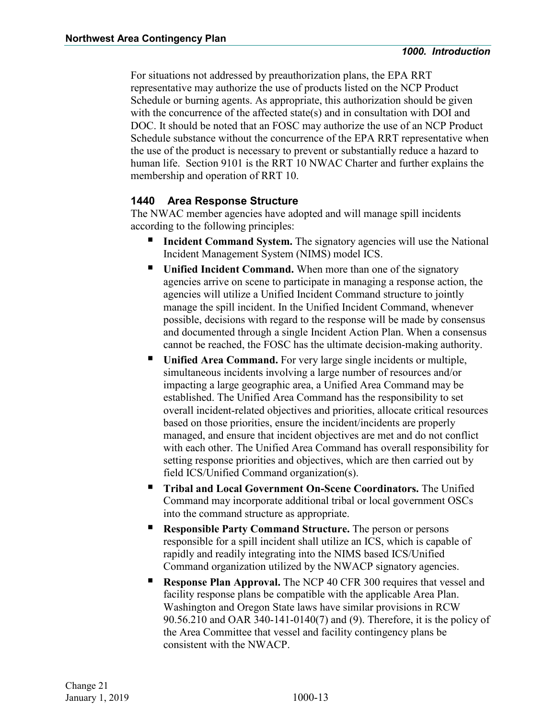For situations not addressed by preauthorization plans, the EPA RRT representative may authorize the use of products listed on the NCP Product Schedule or burning agents. As appropriate, this authorization should be given with the concurrence of the affected state(s) and in consultation with DOI and DOC. It should be noted that an FOSC may authorize the use of an NCP Product Schedule substance without the concurrence of the EPA RRT representative when the use of the product is necessary to prevent or substantially reduce a hazard to human life. Section 9101 is the RRT 10 NWAC Charter and further explains the membership and operation of RRT 10.

#### <span id="page-32-0"></span>**1440 Area Response Structure**

The NWAC member agencies have adopted and will manage spill incidents according to the following principles:

- **Incident Command System.** The signatory agencies will use the National Incident Management System (NIMS) model ICS.
- **Unified Incident Command.** When more than one of the signatory agencies arrive on scene to participate in managing a response action, the agencies will utilize a Unified Incident Command structure to jointly manage the spill incident. In the Unified Incident Command, whenever possible, decisions with regard to the response will be made by consensus and documented through a single Incident Action Plan. When a consensus cannot be reached, the FOSC has the ultimate decision-making authority.
- **Unified Area Command.** For very large single incidents or multiple, simultaneous incidents involving a large number of resources and/or impacting a large geographic area, a Unified Area Command may be established. The Unified Area Command has the responsibility to set overall incident-related objectives and priorities, allocate critical resources based on those priorities, ensure the incident/incidents are properly managed, and ensure that incident objectives are met and do not conflict with each other. The Unified Area Command has overall responsibility for setting response priorities and objectives, which are then carried out by field ICS/Unified Command organization(s).
- **Tribal and Local Government On-Scene Coordinators.** The Unified Command may incorporate additional tribal or local government OSCs into the command structure as appropriate.
- **Responsible Party Command Structure.** The person or persons responsible for a spill incident shall utilize an ICS, which is capable of rapidly and readily integrating into the NIMS based ICS/Unified Command organization utilized by the NWACP signatory agencies.
- **Response Plan Approval.** The NCP 40 CFR 300 requires that vessel and facility response plans be compatible with the applicable Area Plan. Washington and Oregon State laws have similar provisions in RCW 90.56.210 and OAR 340-141-0140(7) and (9). Therefore, it is the policy of the Area Committee that vessel and facility contingency plans be consistent with the NWACP.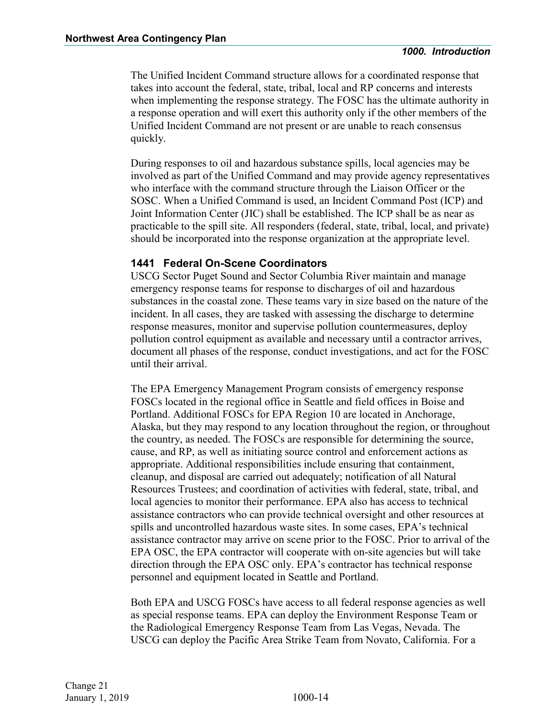The Unified Incident Command structure allows for a coordinated response that takes into account the federal, state, tribal, local and RP concerns and interests when implementing the response strategy. The FOSC has the ultimate authority in a response operation and will exert this authority only if the other members of the Unified Incident Command are not present or are unable to reach consensus quickly.

During responses to oil and hazardous substance spills, local agencies may be involved as part of the Unified Command and may provide agency representatives who interface with the command structure through the Liaison Officer or the SOSC. When a Unified Command is used, an Incident Command Post (ICP) and Joint Information Center (JIC) shall be established. The ICP shall be as near as practicable to the spill site. All responders (federal, state, tribal, local, and private) should be incorporated into the response organization at the appropriate level.

#### **1441 Federal On-Scene Coordinators**

USCG Sector Puget Sound and Sector Columbia River maintain and manage emergency response teams for response to discharges of oil and hazardous substances in the coastal zone. These teams vary in size based on the nature of the incident. In all cases, they are tasked with assessing the discharge to determine response measures, monitor and supervise pollution countermeasures, deploy pollution control equipment as available and necessary until a contractor arrives, document all phases of the response, conduct investigations, and act for the FOSC until their arrival.

The EPA Emergency Management Program consists of emergency response FOSCs located in the regional office in Seattle and field offices in Boise and Portland. Additional FOSCs for EPA Region 10 are located in Anchorage, Alaska, but they may respond to any location throughout the region, or throughout the country, as needed. The FOSCs are responsible for determining the source, cause, and RP, as well as initiating source control and enforcement actions as appropriate. Additional responsibilities include ensuring that containment, cleanup, and disposal are carried out adequately; notification of all Natural Resources Trustees; and coordination of activities with federal, state, tribal, and local agencies to monitor their performance. EPA also has access to technical assistance contractors who can provide technical oversight and other resources at spills and uncontrolled hazardous waste sites. In some cases, EPA's technical assistance contractor may arrive on scene prior to the FOSC. Prior to arrival of the EPA OSC, the EPA contractor will cooperate with on-site agencies but will take direction through the EPA OSC only. EPA's contractor has technical response personnel and equipment located in Seattle and Portland.

Both EPA and USCG FOSCs have access to all federal response agencies as well as special response teams. EPA can deploy the Environment Response Team or the Radiological Emergency Response Team from Las Vegas, Nevada. The USCG can deploy the Pacific Area Strike Team from Novato, California. For a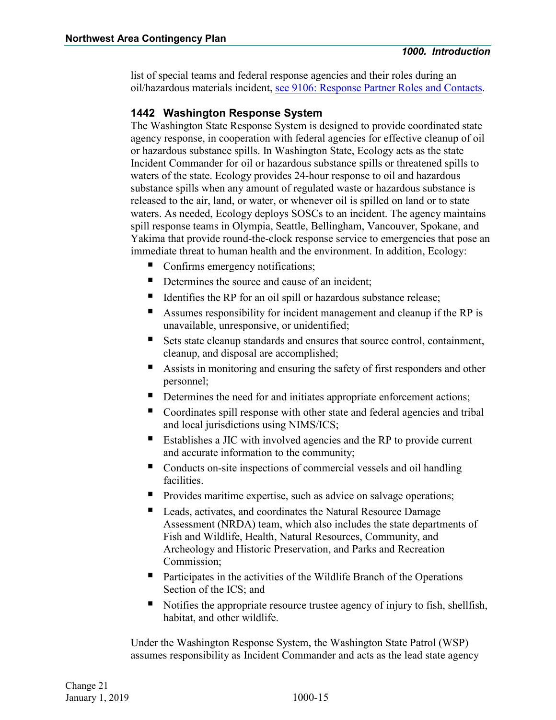list of special teams and federal response agencies and their roles during an oil/hazardous materials incident, see 9106: Response Partner Roles and Contacts.

#### **1442 Washington Response System**

The Washington State Response System is designed to provide coordinated state agency response, in cooperation with federal agencies for effective cleanup of oil or hazardous substance spills. In Washington State, Ecology acts as the state Incident Commander for oil or hazardous substance spills or threatened spills to waters of the state. Ecology provides 24-hour response to oil and hazardous substance spills when any amount of regulated waste or hazardous substance is released to the air, land, or water, or whenever oil is spilled on land or to state waters. As needed, Ecology deploys SOSCs to an incident. The agency maintains spill response teams in Olympia, Seattle, Bellingham, Vancouver, Spokane, and Yakima that provide round-the-clock response service to emergencies that pose an immediate threat to human health and the environment. In addition, Ecology:

- Confirms emergency notifications;
- Determines the source and cause of an incident;
- Identifies the RP for an oil spill or hazardous substance release;
- Assumes responsibility for incident management and cleanup if the RP is unavailable, unresponsive, or unidentified;
- Sets state cleanup standards and ensures that source control, containment, cleanup, and disposal are accomplished;
- Assists in monitoring and ensuring the safety of first responders and other personnel;
- Determines the need for and initiates appropriate enforcement actions;
- Coordinates spill response with other state and federal agencies and tribal and local jurisdictions using NIMS/ICS;
- Establishes a JIC with involved agencies and the RP to provide current and accurate information to the community;
- Conducts on-site inspections of commercial vessels and oil handling facilities.
- Provides maritime expertise, such as advice on salvage operations;
- Leads, activates, and coordinates the Natural Resource Damage Assessment (NRDA) team, which also includes the state departments of Fish and Wildlife, Health, Natural Resources, Community, and Archeology and Historic Preservation, and Parks and Recreation Commission;
- Participates in the activities of the Wildlife Branch of the Operations Section of the ICS; and
- Notifies the appropriate resource trustee agency of injury to fish, shellfish, habitat, and other wildlife.

Under the Washington Response System, the Washington State Patrol (WSP) assumes responsibility as Incident Commander and acts as the lead state agency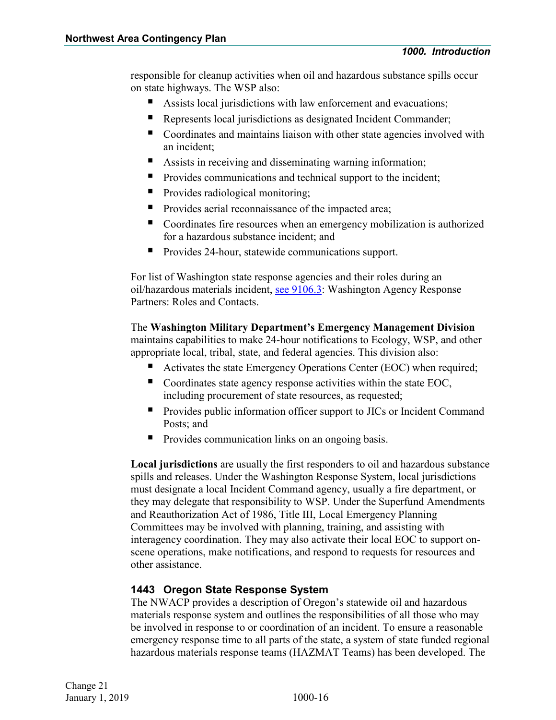responsible for cleanup activities when oil and hazardous substance spills occur on state highways. The WSP also:

- Assists local jurisdictions with law enforcement and evacuations;
- Represents local jurisdictions as designated Incident Commander;
- Coordinates and maintains liaison with other state agencies involved with an incident;
- Assists in receiving and disseminating warning information;
- **Provides communications and technical support to the incident;**
- **Provides radiological monitoring;**
- Provides aerial reconnaissance of the impacted area;
- Coordinates fire resources when an emergency mobilization is authorized for a hazardous substance incident; and
- **Provides 24-hour, statewide communications support.**

For list of Washington state response agencies and their roles during an oil/hazardous materials incident, see 9106.3: Washington Agency Response Partners: Roles and Contacts.

The **Washington Military Department's Emergency Management Division**  maintains capabilities to make 24-hour notifications to Ecology, WSP, and other appropriate local, tribal, state, and federal agencies. This division also:

- Activates the state Emergency Operations Center (EOC) when required;
- Coordinates state agency response activities within the state EOC, including procurement of state resources, as requested;
- **Provides public information officer support to JICs or Incident Command** Posts; and
- Provides communication links on an ongoing basis.

**Local jurisdictions** are usually the first responders to oil and hazardous substance spills and releases. Under the Washington Response System, local jurisdictions must designate a local Incident Command agency, usually a fire department, or they may delegate that responsibility to WSP. Under the Superfund Amendments and Reauthorization Act of 1986, Title III, Local Emergency Planning Committees may be involved with planning, training, and assisting with interagency coordination. They may also activate their local EOC to support onscene operations, make notifications, and respond to requests for resources and other assistance.

#### **1443 Oregon State Response System**

The NWACP provides a description of Oregon's statewide oil and hazardous materials response system and outlines the responsibilities of all those who may be involved in response to or coordination of an incident. To ensure a reasonable emergency response time to all parts of the state, a system of state funded regional hazardous materials response teams (HAZMAT Teams) has been developed. The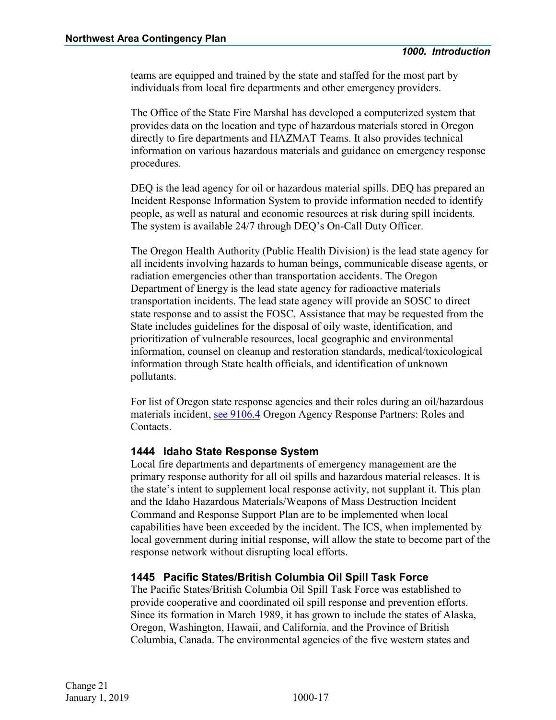teams are equipped and trained by the state and staffed for the most part by individuals from local fire departments and other emergency providers.

The Office of the State Fire Marshal has developed a computerized system that provides data on the location and type of hazardous materials stored in Oregon directly to fire departments and HAZMAT Teams. It also provides technical information on various hazardous materials and guidance on emergency response procedures.

DEQ is the lead agency for oil or hazardous material spills. DEQ has prepared an Incident Response Information System to provide information needed to identify people, as well as natural and economic resources at risk during spill incidents. The system is available 24/7 through DEQ's On-Call Duty Officer.

The Oregon Health Authority (Public Health Division) is the lead state agency for all incidents involving hazards to human beings, communicable disease agents, or radiation emergencies other than transportation accidents. The Oregon Department of Energy is the lead state agency for radioactive materials transportation incidents. The lead state agency will provide an SOSC to direct state response and to assist the FOSC. Assistance that may be requested from the State includes guidelines for the disposal of oily waste, identification, and prioritization of vulnerable resources, local geographic and environmental information, counsel on cleanup and restoration standards, medical/toxicological information through State health officials, and identification of unknown pollutants.

For list of Oregon state response agencies and their roles during an oil/hazardous materials incident, see 9106.4 Oregon Agency Response Partners: Roles and Contacts.

#### **1444 Idaho State Response System**

Local fire departments and departments of emergency management are the primary response authority for all oil spills and hazardous material releases. It is the state's intent to supplement local response activity, not supplant it. This plan and the Idaho Hazardous Materials/Weapons of Mass Destruction Incident Command and Response Support Plan are to be implemented when local capabilities have been exceeded by the incident. The ICS, when implemented by local government during initial response, will allow the state to become part of the response network without disrupting local efforts.

#### **1445 Pacific States/British Columbia Oil Spill Task Force**

The Pacific States/British Columbia Oil Spill Task Force was established to provide cooperative and coordinated oil spill response and prevention efforts. Since its formation in March 1989, it has grown to include the states of Alaska, Oregon, Washington, Hawaii, and California, and the Province of British Columbia, Canada. The environmental agencies of the five western states and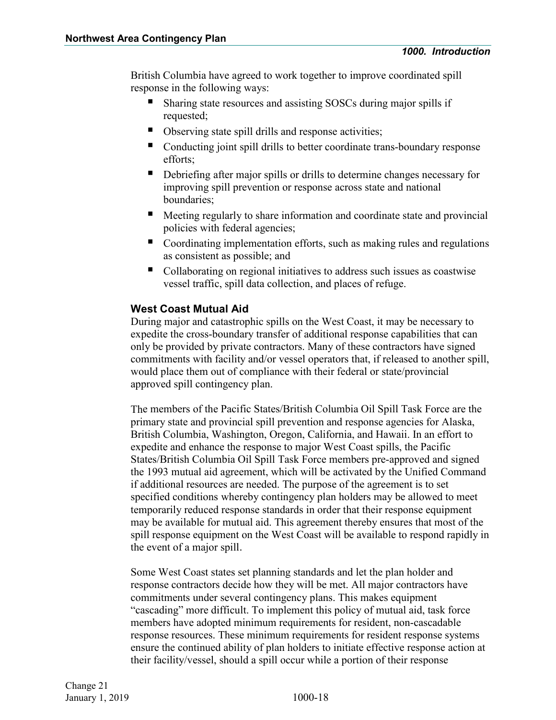British Columbia have agreed to work together to improve coordinated spill response in the following ways:

- Sharing state resources and assisting SOSCs during major spills if requested;
- Observing state spill drills and response activities;
- Conducting joint spill drills to better coordinate trans-boundary response efforts;
- Debriefing after major spills or drills to determine changes necessary for improving spill prevention or response across state and national boundaries;
- Meeting regularly to share information and coordinate state and provincial policies with federal agencies;
- Coordinating implementation efforts, such as making rules and regulations as consistent as possible; and
- Collaborating on regional initiatives to address such issues as coastwise vessel traffic, spill data collection, and places of refuge.

#### **West Coast Mutual Aid**

During major and catastrophic spills on the West Coast, it may be necessary to expedite the cross-boundary transfer of additional response capabilities that can only be provided by private contractors. Many of these contractors have signed commitments with facility and/or vessel operators that, if released to another spill, would place them out of compliance with their federal or state/provincial approved spill contingency plan.

The members of the Pacific States/British Columbia Oil Spill Task Force are the primary state and provincial spill prevention and response agencies for Alaska, British Columbia, Washington, Oregon, California, and Hawaii. In an effort to expedite and enhance the response to major West Coast spills, the Pacific States/British Columbia Oil Spill Task Force members pre-approved and signed the 1993 mutual aid agreement, which will be activated by the Unified Command if additional resources are needed. The purpose of the agreement is to set specified conditions whereby contingency plan holders may be allowed to meet temporarily reduced response standards in order that their response equipment may be available for mutual aid. This agreement thereby ensures that most of the spill response equipment on the West Coast will be available to respond rapidly in the event of a major spill.

Some West Coast states set planning standards and let the plan holder and response contractors decide how they will be met. All major contractors have commitments under several contingency plans. This makes equipment "cascading" more difficult. To implement this policy of mutual aid, task force members have adopted minimum requirements for resident, non-cascadable response resources. These minimum requirements for resident response systems ensure the continued ability of plan holders to initiate effective response action at their facility/vessel, should a spill occur while a portion of their response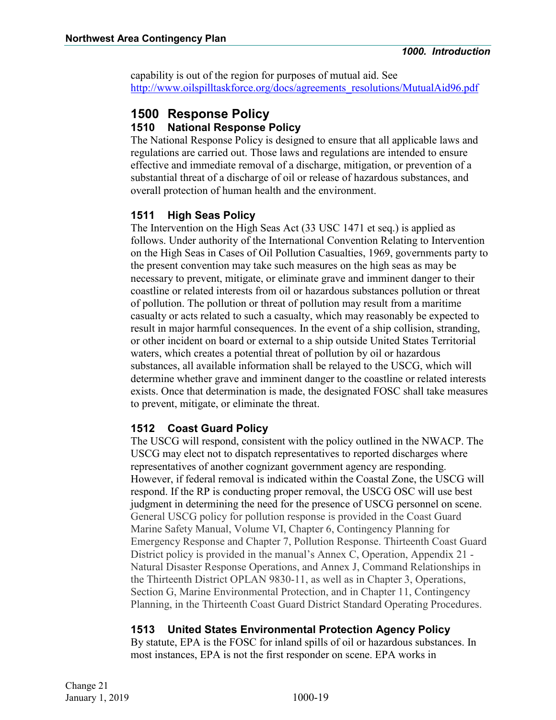capability is out of the region for purposes of mutual aid. See http://www.oilspilltaskforce.org/docs/agreements\_resolutions/MutualAid96.pdf

#### <span id="page-38-1"></span><span id="page-38-0"></span>**1500 Response Policy 1510 National Response Policy**

The National Response Policy is designed to ensure that all applicable laws and regulations are carried out. Those laws and regulations are intended to ensure effective and immediate removal of a discharge, mitigation, or prevention of a substantial threat of a discharge of oil or release of hazardous substances, and overall protection of human health and the environment.

#### <span id="page-38-2"></span>**1511 High Seas Policy**

The Intervention on the High Seas Act (33 USC 1471 et seq.) is applied as follows. Under authority of the International Convention Relating to Intervention on the High Seas in Cases of Oil Pollution Casualties, 1969, governments party to the present convention may take such measures on the high seas as may be necessary to prevent, mitigate, or eliminate grave and imminent danger to their coastline or related interests from oil or hazardous substances pollution or threat of pollution. The pollution or threat of pollution may result from a maritime casualty or acts related to such a casualty, which may reasonably be expected to result in major harmful consequences. In the event of a ship collision, stranding, or other incident on board or external to a ship outside United States Territorial waters, which creates a potential threat of pollution by oil or hazardous substances, all available information shall be relayed to the USCG, which will determine whether grave and imminent danger to the coastline or related interests exists. Once that determination is made, the designated FOSC shall take measures to prevent, mitigate, or eliminate the threat.

#### <span id="page-38-3"></span>**1512 Coast Guard Policy**

The USCG will respond, consistent with the policy outlined in the NWACP. The USCG may elect not to dispatch representatives to reported discharges where representatives of another cognizant government agency are responding. However, if federal removal is indicated within the Coastal Zone, the USCG will respond. If the RP is conducting proper removal, the USCG OSC will use best judgment in determining the need for the presence of USCG personnel on scene. General USCG policy for pollution response is provided in the Coast Guard Marine Safety Manual, Volume VI, Chapter 6, Contingency Planning for Emergency Response and Chapter 7, Pollution Response. Thirteenth Coast Guard District policy is provided in the manual's Annex C, Operation, Appendix 21 - Natural Disaster Response Operations, and Annex J, Command Relationships in the Thirteenth District OPLAN 9830-11, as well as in Chapter 3, Operations, Section G, Marine Environmental Protection, and in Chapter 11, Contingency Planning, in the Thirteenth Coast Guard District Standard Operating Procedures.

#### <span id="page-38-4"></span>**1513 United States Environmental Protection Agency Policy**

By statute, EPA is the FOSC for inland spills of oil or hazardous substances. In most instances, EPA is not the first responder on scene. EPA works in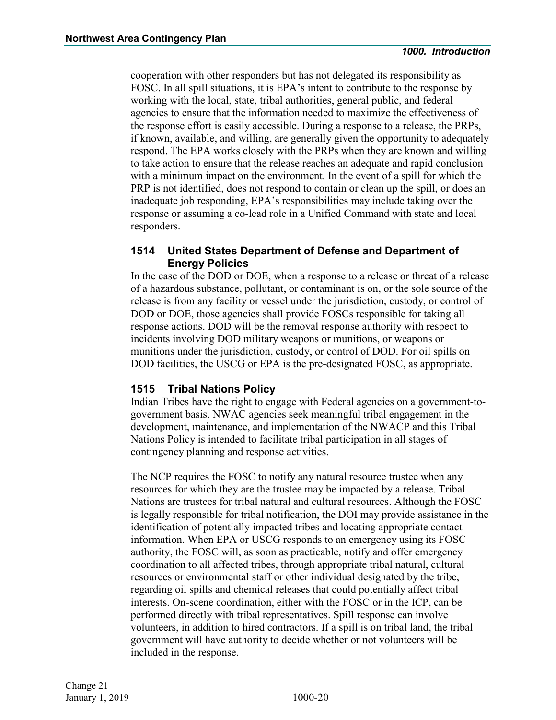cooperation with other responders but has not delegated its responsibility as FOSC. In all spill situations, it is EPA's intent to contribute to the response by working with the local, state, tribal authorities, general public, and federal agencies to ensure that the information needed to maximize the effectiveness of the response effort is easily accessible. During a response to a release, the PRPs, if known, available, and willing, are generally given the opportunity to adequately respond. The EPA works closely with the PRPs when they are known and willing to take action to ensure that the release reaches an adequate and rapid conclusion with a minimum impact on the environment. In the event of a spill for which the PRP is not identified, does not respond to contain or clean up the spill, or does an inadequate job responding, EPA's responsibilities may include taking over the response or assuming a co-lead role in a Unified Command with state and local responders.

#### <span id="page-39-0"></span>**1514 United States Department of Defense and Department of Energy Policies**

In the case of the DOD or DOE, when a response to a release or threat of a release of a hazardous substance, pollutant, or contaminant is on, or the sole source of the release is from any facility or vessel under the jurisdiction, custody, or control of DOD or DOE, those agencies shall provide FOSCs responsible for taking all response actions. DOD will be the removal response authority with respect to incidents involving DOD military weapons or munitions, or weapons or munitions under the jurisdiction, custody, or control of DOD. For oil spills on DOD facilities, the USCG or EPA is the pre-designated FOSC, as appropriate.

#### <span id="page-39-1"></span>**1515 Tribal Nations Policy**

Indian Tribes have the right to engage with Federal agencies on a government-togovernment basis. NWAC agencies seek meaningful tribal engagement in the development, maintenance, and implementation of the NWACP and this Tribal Nations Policy is intended to facilitate tribal participation in all stages of contingency planning and response activities.

The NCP requires the FOSC to notify any natural resource trustee when any resources for which they are the trustee may be impacted by a release. Tribal Nations are trustees for tribal natural and cultural resources. Although the FOSC is legally responsible for tribal notification, the DOI may provide assistance in the identification of potentially impacted tribes and locating appropriate contact information. When EPA or USCG responds to an emergency using its FOSC authority, the FOSC will, as soon as practicable, notify and offer emergency coordination to all affected tribes, through appropriate tribal natural, cultural resources or environmental staff or other individual designated by the tribe, regarding oil spills and chemical releases that could potentially affect tribal interests. On-scene coordination, either with the FOSC or in the ICP, can be performed directly with tribal representatives. Spill response can involve volunteers, in addition to hired contractors. If a spill is on tribal land, the tribal government will have authority to decide whether or not volunteers will be included in the response.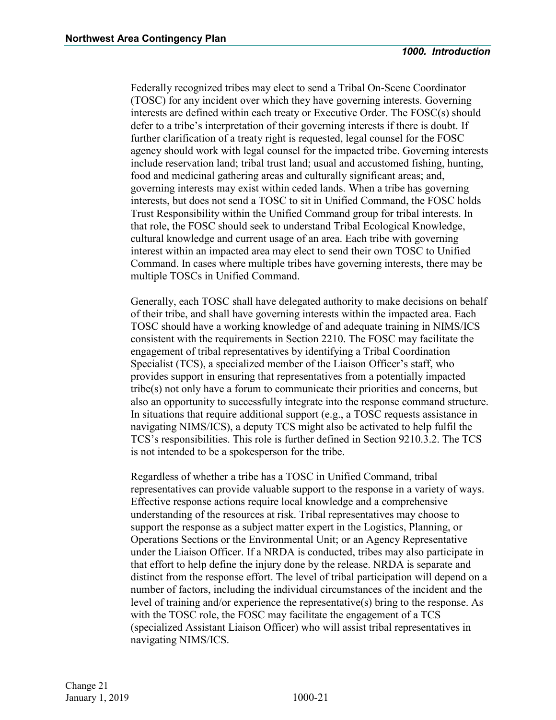Federally recognized tribes may elect to send a Tribal On-Scene Coordinator (TOSC) for any incident over which they have governing interests. Governing interests are defined within each treaty or Executive Order. The FOSC(s) should defer to a tribe's interpretation of their governing interests if there is doubt. If further clarification of a treaty right is requested, legal counsel for the FOSC agency should work with legal counsel for the impacted tribe. Governing interests include reservation land; tribal trust land; usual and accustomed fishing, hunting, food and medicinal gathering areas and culturally significant areas; and, governing interests may exist within ceded lands. When a tribe has governing interests, but does not send a TOSC to sit in Unified Command, the FOSC holds Trust Responsibility within the Unified Command group for tribal interests. In that role, the FOSC should seek to understand Tribal Ecological Knowledge, cultural knowledge and current usage of an area. Each tribe with governing interest within an impacted area may elect to send their own TOSC to Unified Command. In cases where multiple tribes have governing interests, there may be multiple TOSCs in Unified Command.

Generally, each TOSC shall have delegated authority to make decisions on behalf of their tribe, and shall have governing interests within the impacted area. Each TOSC should have a working knowledge of and adequate training in NIMS/ICS consistent with the requirements in Section 2210. The FOSC may facilitate the engagement of tribal representatives by identifying a Tribal Coordination Specialist (TCS), a specialized member of the Liaison Officer's staff, who provides support in ensuring that representatives from a potentially impacted tribe(s) not only have a forum to communicate their priorities and concerns, but also an opportunity to successfully integrate into the response command structure. In situations that require additional support (e.g., a TOSC requests assistance in navigating NIMS/ICS), a deputy TCS might also be activated to help fulfil the TCS's responsibilities. This role is further defined in Section 9210.3.2. The TCS is not intended to be a spokesperson for the tribe.

Regardless of whether a tribe has a TOSC in Unified Command, tribal representatives can provide valuable support to the response in a variety of ways. Effective response actions require local knowledge and a comprehensive understanding of the resources at risk. Tribal representatives may choose to support the response as a subject matter expert in the Logistics, Planning, or Operations Sections or the Environmental Unit; or an Agency Representative under the Liaison Officer. If a NRDA is conducted, tribes may also participate in that effort to help define the injury done by the release. NRDA is separate and distinct from the response effort. The level of tribal participation will depend on a number of factors, including the individual circumstances of the incident and the level of training and/or experience the representative(s) bring to the response. As with the TOSC role, the FOSC may facilitate the engagement of a TCS (specialized Assistant Liaison Officer) who will assist tribal representatives in navigating NIMS/ICS.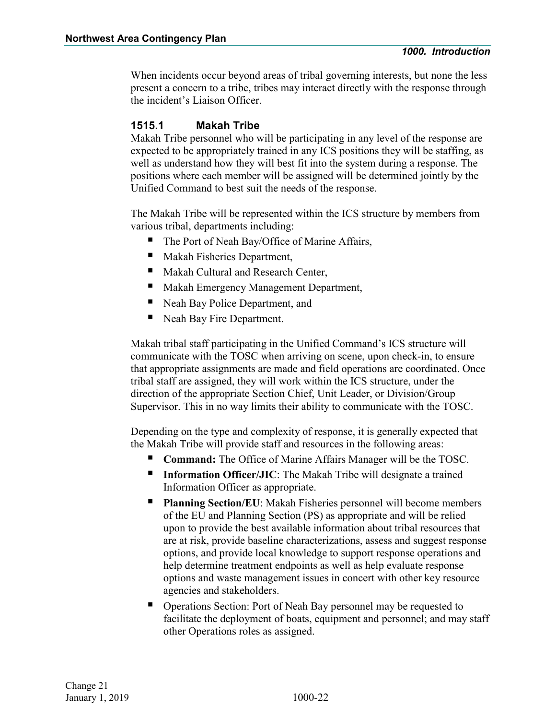When incidents occur beyond areas of tribal governing interests, but none the less present a concern to a tribe, tribes may interact directly with the response through the incident's Liaison Officer.

#### **1515.1 Makah Tribe**

Makah Tribe personnel who will be participating in any level of the response are expected to be appropriately trained in any ICS positions they will be staffing, as well as understand how they will best fit into the system during a response. The positions where each member will be assigned will be determined jointly by the Unified Command to best suit the needs of the response.

The Makah Tribe will be represented within the ICS structure by members from various tribal, departments including:

- The Port of Neah Bay/Office of Marine Affairs,
- **Makah Fisheries Department,**
- Makah Cultural and Research Center,
- **Makah Emergency Management Department,**
- Neah Bay Police Department, and
- Neah Bay Fire Department.

Makah tribal staff participating in the Unified Command's ICS structure will communicate with the TOSC when arriving on scene, upon check-in, to ensure that appropriate assignments are made and field operations are coordinated. Once tribal staff are assigned, they will work within the ICS structure, under the direction of the appropriate Section Chief, Unit Leader, or Division/Group Supervisor. This in no way limits their ability to communicate with the TOSC.

Depending on the type and complexity of response, it is generally expected that the Makah Tribe will provide staff and resources in the following areas:

- **Command:** The Office of Marine Affairs Manager will be the TOSC.
- **Information Officer/JIC**: The Makah Tribe will designate a trained Information Officer as appropriate.
- **Planning Section/EU**: Makah Fisheries personnel will become members of the EU and Planning Section (PS) as appropriate and will be relied upon to provide the best available information about tribal resources that are at risk, provide baseline characterizations, assess and suggest response options, and provide local knowledge to support response operations and help determine treatment endpoints as well as help evaluate response options and waste management issues in concert with other key resource agencies and stakeholders.
- Operations Section: Port of Neah Bay personnel may be requested to facilitate the deployment of boats, equipment and personnel; and may staff other Operations roles as assigned.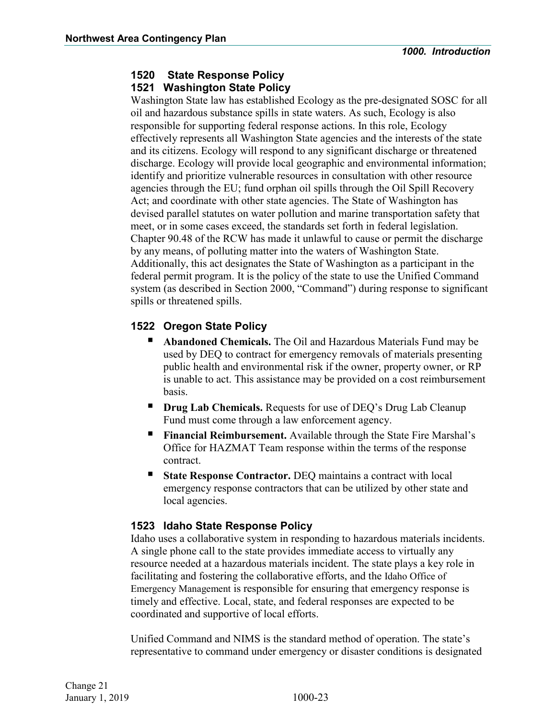#### <span id="page-42-0"></span>**1520 State Response Policy 1521 Washington State Policy**

Washington State law has established Ecology as the pre-designated SOSC for all oil and hazardous substance spills in state waters. As such, Ecology is also responsible for supporting federal response actions. In this role, Ecology effectively represents all Washington State agencies and the interests of the state and its citizens. Ecology will respond to any significant discharge or threatened discharge. Ecology will provide local geographic and environmental information; identify and prioritize vulnerable resources in consultation with other resource agencies through the EU; fund orphan oil spills through the Oil Spill Recovery Act; and coordinate with other state agencies. The State of Washington has devised parallel statutes on water pollution and marine transportation safety that meet, or in some cases exceed, the standards set forth in federal legislation. Chapter 90.48 of the RCW has made it unlawful to cause or permit the discharge by any means, of polluting matter into the waters of Washington State. Additionally, this act designates the State of Washington as a participant in the federal permit program. It is the policy of the state to use the Unified Command system (as described in Section 2000, "Command") during response to significant spills or threatened spills.

#### **1522 Oregon State Policy**

- **Abandoned Chemicals.** The Oil and Hazardous Materials Fund may be used by DEQ to contract for emergency removals of materials presenting public health and environmental risk if the owner, property owner, or RP is unable to act. This assistance may be provided on a cost reimbursement basis.
- **Drug Lab Chemicals.** Requests for use of DEQ's Drug Lab Cleanup Fund must come through a law enforcement agency.
- **Financial Reimbursement.** Available through the State Fire Marshal's Office for HAZMAT Team response within the terms of the response contract.
- **State Response Contractor.** DEQ maintains a contract with local emergency response contractors that can be utilized by other state and local agencies.

#### **1523 Idaho State Response Policy**

Idaho uses a collaborative system in responding to hazardous materials incidents. A single phone call to the state provides immediate access to virtually any resource needed at a hazardous materials incident. The state plays a key role in facilitating and fostering the collaborative efforts, and the Idaho Office of Emergency Management is responsible for ensuring that emergency response is timely and effective. Local, state, and federal responses are expected to be coordinated and supportive of local efforts.

Unified Command and NIMS is the standard method of operation. The state's representative to command under emergency or disaster conditions is designated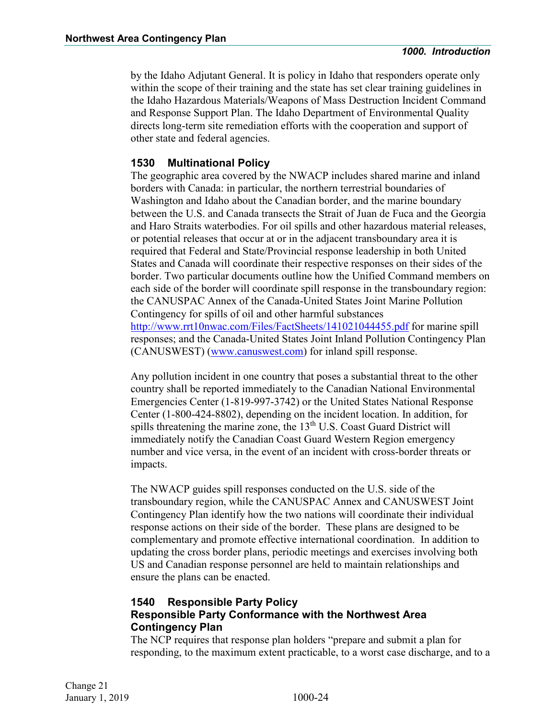by the Idaho Adjutant General. It is policy in Idaho that responders operate only within the scope of their training and the state has set clear training guidelines in the Idaho Hazardous Materials/Weapons of Mass Destruction Incident Command and Response Support Plan. The Idaho Department of Environmental Quality directs long-term site remediation efforts with the cooperation and support of other state and federal agencies.

#### <span id="page-43-0"></span>**1530 Multinational Policy**

The geographic area covered by the NWACP includes shared marine and inland borders with Canada: in particular, the northern terrestrial boundaries of Washington and Idaho about the Canadian border, and the marine boundary between the U.S. and Canada transects the Strait of Juan de Fuca and the Georgia and Haro Straits waterbodies. For oil spills and other hazardous material releases, or potential releases that occur at or in the adjacent transboundary area it is required that Federal and State/Provincial response leadership in both United States and Canada will coordinate their respective responses on their sides of the border. Two particular documents outline how the Unified Command members on each side of the border will coordinate spill response in the transboundary region: the CANUSPAC Annex of the Canada-United States Joint Marine Pollution Contingency for spills of oil and other harmful substances <http://www.rrt10nwac.com/Files/FactSheets/141021044455.pdf> for marine spill responses; and the Canada-United States Joint Inland Pollution Contingency Plan (CANUSWEST) [\(www.canuswest.com\)](https://www.canuswest.com/) for inland spill response.

Any pollution incident in one country that poses a substantial threat to the other country shall be reported immediately to the Canadian National Environmental Emergencies Center (1-819-997-3742) or the United States National Response Center (1-800-424-8802), depending on the incident location. In addition, for spills threatening the marine zone, the  $13<sup>th</sup>$  U.S. Coast Guard District will immediately notify the Canadian Coast Guard Western Region emergency number and vice versa, in the event of an incident with cross-border threats or impacts.

The NWACP guides spill responses conducted on the U.S. side of the transboundary region, while the CANUSPAC Annex and CANUSWEST Joint Contingency Plan identify how the two nations will coordinate their individual response actions on their side of the border. These plans are designed to be complementary and promote effective international coordination. In addition to updating the cross border plans, periodic meetings and exercises involving both US and Canadian response personnel are held to maintain relationships and ensure the plans can be enacted.

#### <span id="page-43-1"></span>**1540 Responsible Party Policy Responsible Party Conformance with the Northwest Area Contingency Plan**

The NCP requires that response plan holders "prepare and submit a plan for responding, to the maximum extent practicable, to a worst case discharge, and to a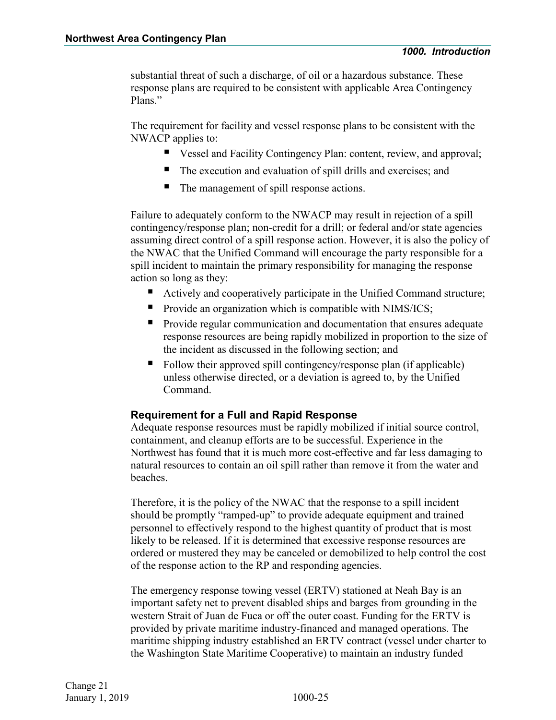substantial threat of such a discharge, of oil or a hazardous substance. These response plans are required to be consistent with applicable Area Contingency Plans."

The requirement for facility and vessel response plans to be consistent with the NWACP applies to:

- Vessel and Facility Contingency Plan: content, review, and approval;
- The execution and evaluation of spill drills and exercises; and
- The management of spill response actions.

Failure to adequately conform to the NWACP may result in rejection of a spill contingency/response plan; non-credit for a drill; or federal and/or state agencies assuming direct control of a spill response action. However, it is also the policy of the NWAC that the Unified Command will encourage the party responsible for a spill incident to maintain the primary responsibility for managing the response action so long as they:

- Actively and cooperatively participate in the Unified Command structure;
- $\blacksquare$  Provide an organization which is compatible with NIMS/ICS;
- Provide regular communication and documentation that ensures adequate response resources are being rapidly mobilized in proportion to the size of the incident as discussed in the following section; and
- Follow their approved spill contingency/response plan (if applicable) unless otherwise directed, or a deviation is agreed to, by the Unified Command.

#### **Requirement for a Full and Rapid Response**

Adequate response resources must be rapidly mobilized if initial source control, containment, and cleanup efforts are to be successful. Experience in the Northwest has found that it is much more cost-effective and far less damaging to natural resources to contain an oil spill rather than remove it from the water and beaches.

Therefore, it is the policy of the NWAC that the response to a spill incident should be promptly "ramped-up" to provide adequate equipment and trained personnel to effectively respond to the highest quantity of product that is most likely to be released. If it is determined that excessive response resources are ordered or mustered they may be canceled or demobilized to help control the cost of the response action to the RP and responding agencies.

The emergency response towing vessel (ERTV) stationed at Neah Bay is an important safety net to prevent disabled ships and barges from grounding in the western Strait of Juan de Fuca or off the outer coast. Funding for the ERTV is provided by private maritime industry-financed and managed operations. The maritime shipping industry established an ERTV contract (vessel under charter to the Washington State Maritime Cooperative) to maintain an industry funded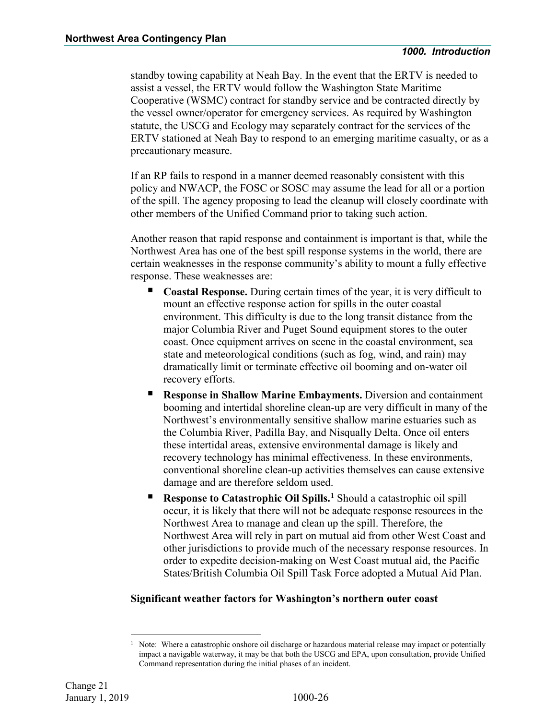standby towing capability at Neah Bay. In the event that the ERTV is needed to assist a vessel, the ERTV would follow the Washington State Maritime Cooperative (WSMC) contract for standby service and be contracted directly by the vessel owner/operator for emergency services. As required by Washington statute, the USCG and Ecology may separately contract for the services of the ERTV stationed at Neah Bay to respond to an emerging maritime casualty, or as a precautionary measure.

If an RP fails to respond in a manner deemed reasonably consistent with this policy and NWACP, the FOSC or SOSC may assume the lead for all or a portion of the spill. The agency proposing to lead the cleanup will closely coordinate with other members of the Unified Command prior to taking such action.

Another reason that rapid response and containment is important is that, while the Northwest Area has one of the best spill response systems in the world, there are certain weaknesses in the response community's ability to mount a fully effective response. These weaknesses are:

- **Coastal Response.** During certain times of the year, it is very difficult to mount an effective response action for spills in the outer coastal environment. This difficulty is due to the long transit distance from the major Columbia River and Puget Sound equipment stores to the outer coast. Once equipment arrives on scene in the coastal environment, sea state and meteorological conditions (such as fog, wind, and rain) may dramatically limit or terminate effective oil booming and on-water oil recovery efforts.
- **Response in Shallow Marine Embayments.** Diversion and containment booming and intertidal shoreline clean-up are very difficult in many of the Northwest's environmentally sensitive shallow marine estuaries such as the Columbia River, Padilla Bay, and Nisqually Delta. Once oil enters these intertidal areas, extensive environmental damage is likely and recovery technology has minimal effectiveness. In these environments, conventional shoreline clean-up activities themselves can cause extensive damage and are therefore seldom used.
- **Response to Catastrophic Oil Spills.<sup>[1](#page-45-0)</sup> Should a catastrophic oil spill** occur, it is likely that there will not be adequate response resources in the Northwest Area to manage and clean up the spill. Therefore, the Northwest Area will rely in part on mutual aid from other West Coast and other jurisdictions to provide much of the necessary response resources. In order to expedite decision-making on West Coast mutual aid, the Pacific States/British Columbia Oil Spill Task Force adopted a Mutual Aid Plan.

#### **Significant weather factors for Washington's northern outer coast**

<span id="page-45-0"></span>Note: Where a catastrophic onshore oil discharge or hazardous material release may impact or potentially impact a navigable waterway, it may be that both the USCG and EPA, upon consultation, provide Unified Command representation during the initial phases of an incident.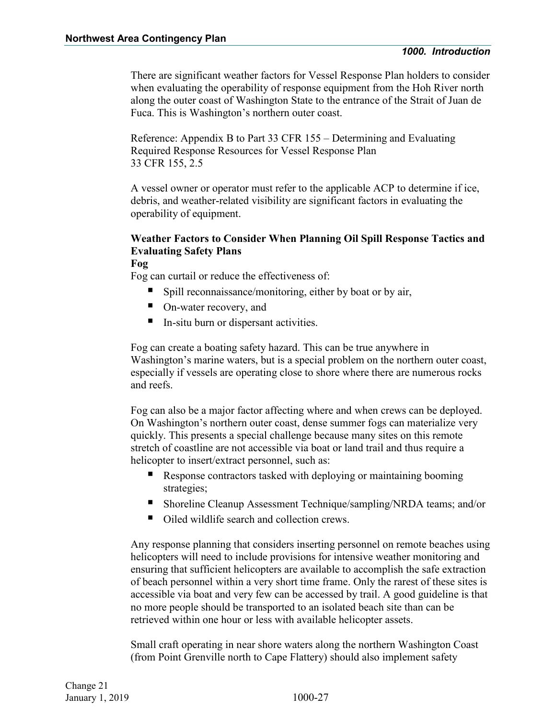There are significant weather factors for Vessel Response Plan holders to consider when evaluating the operability of response equipment from the Hoh River north along the outer coast of Washington State to the entrance of the Strait of Juan de Fuca. This is Washington's northern outer coast.

Reference: Appendix B to Part 33 CFR 155 – Determining and Evaluating Required Response Resources for Vessel Response Plan 33 CFR 155, 2.5

A vessel owner or operator must refer to the applicable ACP to determine if ice, debris, and weather-related visibility are significant factors in evaluating the operability of equipment.

#### **Weather Factors to Consider When Planning Oil Spill Response Tactics and Evaluating Safety Plans**

**Fog**

Fog can curtail or reduce the effectiveness of:

- Spill reconnaissance/monitoring, either by boat or by air,
- On-water recovery, and
- In-situ burn or dispersant activities.

Fog can create a boating safety hazard. This can be true anywhere in Washington's marine waters, but is a special problem on the northern outer coast, especially if vessels are operating close to shore where there are numerous rocks and reefs.

Fog can also be a major factor affecting where and when crews can be deployed. On Washington's northern outer coast, dense summer fogs can materialize very quickly. This presents a special challenge because many sites on this remote stretch of coastline are not accessible via boat or land trail and thus require a helicopter to insert/extract personnel, such as:

- Response contractors tasked with deploying or maintaining booming strategies;
- Shoreline Cleanup Assessment Technique/sampling/NRDA teams; and/or
- Oiled wildlife search and collection crews.

Any response planning that considers inserting personnel on remote beaches using helicopters will need to include provisions for intensive weather monitoring and ensuring that sufficient helicopters are available to accomplish the safe extraction of beach personnel within a very short time frame. Only the rarest of these sites is accessible via boat and very few can be accessed by trail. A good guideline is that no more people should be transported to an isolated beach site than can be retrieved within one hour or less with available helicopter assets.

Small craft operating in near shore waters along the northern Washington Coast (from Point Grenville north to Cape Flattery) should also implement safety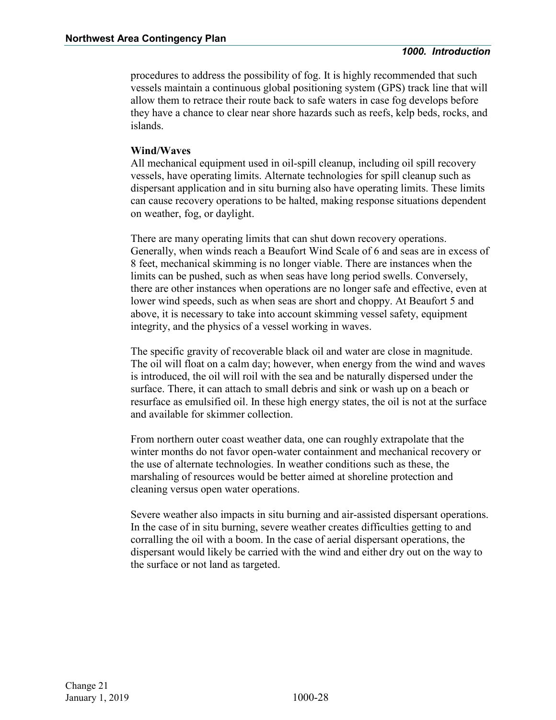procedures to address the possibility of fog. It is highly recommended that such vessels maintain a continuous global positioning system (GPS) track line that will allow them to retrace their route back to safe waters in case fog develops before they have a chance to clear near shore hazards such as reefs, kelp beds, rocks, and islands.

#### **Wind/Waves**

All mechanical equipment used in oil-spill cleanup, including oil spill recovery vessels, have operating limits. Alternate technologies for spill cleanup such as dispersant application and in situ burning also have operating limits. These limits can cause recovery operations to be halted, making response situations dependent on weather, fog, or daylight.

There are many operating limits that can shut down recovery operations. Generally, when winds reach a Beaufort Wind Scale of 6 and seas are in excess of 8 feet, mechanical skimming is no longer viable. There are instances when the limits can be pushed, such as when seas have long period swells. Conversely, there are other instances when operations are no longer safe and effective, even at lower wind speeds, such as when seas are short and choppy. At Beaufort 5 and above, it is necessary to take into account skimming vessel safety, equipment integrity, and the physics of a vessel working in waves.

The specific gravity of recoverable black oil and water are close in magnitude. The oil will float on a calm day; however, when energy from the wind and waves is introduced, the oil will roil with the sea and be naturally dispersed under the surface. There, it can attach to small debris and sink or wash up on a beach or resurface as emulsified oil. In these high energy states, the oil is not at the surface and available for skimmer collection.

From northern outer coast weather data, one can roughly extrapolate that the winter months do not favor open-water containment and mechanical recovery or the use of alternate technologies. In weather conditions such as these, the marshaling of resources would be better aimed at shoreline protection and cleaning versus open water operations.

Severe weather also impacts in situ burning and air-assisted dispersant operations. In the case of in situ burning, severe weather creates difficulties getting to and corralling the oil with a boom. In the case of aerial dispersant operations, the dispersant would likely be carried with the wind and either dry out on the way to the surface or not land as targeted.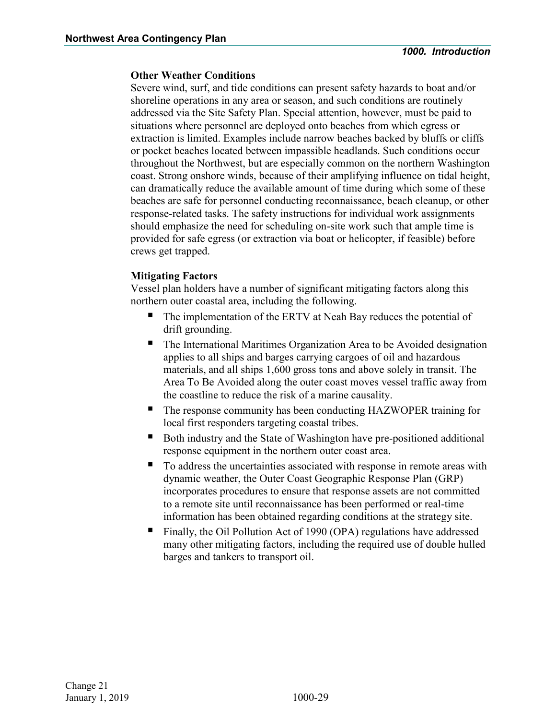#### **Other Weather Conditions**

Severe wind, surf, and tide conditions can present safety hazards to boat and/or shoreline operations in any area or season, and such conditions are routinely addressed via the Site Safety Plan. Special attention, however, must be paid to situations where personnel are deployed onto beaches from which egress or extraction is limited. Examples include narrow beaches backed by bluffs or cliffs or pocket beaches located between impassible headlands. Such conditions occur throughout the Northwest, but are especially common on the northern Washington coast. Strong onshore winds, because of their amplifying influence on tidal height, can dramatically reduce the available amount of time during which some of these beaches are safe for personnel conducting reconnaissance, beach cleanup, or other response-related tasks. The safety instructions for individual work assignments should emphasize the need for scheduling on-site work such that ample time is provided for safe egress (or extraction via boat or helicopter, if feasible) before crews get trapped.

#### **Mitigating Factors**

Vessel plan holders have a number of significant mitigating factors along this northern outer coastal area, including the following.

- The implementation of the ERTV at Neah Bay reduces the potential of drift grounding.
- The International Maritimes Organization Area to be Avoided designation applies to all ships and barges carrying cargoes of oil and hazardous materials, and all ships 1,600 gross tons and above solely in transit. The Area To Be Avoided along the outer coast moves vessel traffic away from the coastline to reduce the risk of a marine causality.
- The response community has been conducting HAZWOPER training for local first responders targeting coastal tribes.
- Both industry and the State of Washington have pre-positioned additional response equipment in the northern outer coast area.
- To address the uncertainties associated with response in remote areas with dynamic weather, the Outer Coast Geographic Response Plan (GRP) incorporates procedures to ensure that response assets are not committed to a remote site until reconnaissance has been performed or real-time information has been obtained regarding conditions at the strategy site.
- Finally, the Oil Pollution Act of 1990 (OPA) regulations have addressed many other mitigating factors, including the required use of double hulled barges and tankers to transport oil.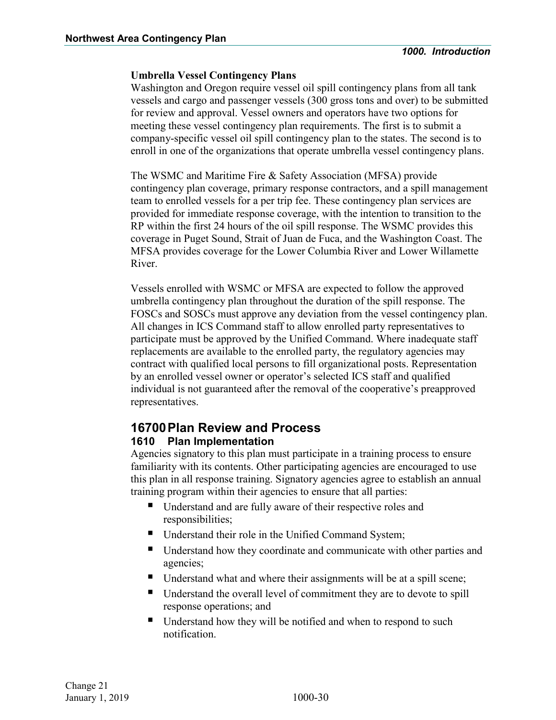#### **Umbrella Vessel Contingency Plans**

Washington and Oregon require vessel oil spill contingency plans from all tank vessels and cargo and passenger vessels (300 gross tons and over) to be submitted for review and approval. Vessel owners and operators have two options for meeting these vessel contingency plan requirements. The first is to submit a company-specific vessel oil spill contingency plan to the states. The second is to enroll in one of the organizations that operate umbrella vessel contingency plans.

The WSMC and Maritime Fire & Safety Association (MFSA) provide contingency plan coverage, primary response contractors, and a spill management team to enrolled vessels for a per trip fee. These contingency plan services are provided for immediate response coverage, with the intention to transition to the RP within the first 24 hours of the oil spill response. The WSMC provides this coverage in Puget Sound, Strait of Juan de Fuca, and the Washington Coast. The MFSA provides coverage for the Lower Columbia River and Lower Willamette River.

Vessels enrolled with WSMC or MFSA are expected to follow the approved umbrella contingency plan throughout the duration of the spill response. The FOSCs and SOSCs must approve any deviation from the vessel contingency plan. All changes in ICS Command staff to allow enrolled party representatives to participate must be approved by the Unified Command. Where inadequate staff replacements are available to the enrolled party, the regulatory agencies may contract with qualified local persons to fill organizational posts. Representation by an enrolled vessel owner or operator's selected ICS staff and qualified individual is not guaranteed after the removal of the cooperative's preapproved representatives.

## <span id="page-49-0"></span>**16700Plan Review and Process**

#### <span id="page-49-1"></span>**1610 Plan Implementation**

Agencies signatory to this plan must participate in a training process to ensure familiarity with its contents. Other participating agencies are encouraged to use this plan in all response training. Signatory agencies agree to establish an annual training program within their agencies to ensure that all parties:

- Understand and are fully aware of their respective roles and responsibilities;
- Understand their role in the Unified Command System;
- Understand how they coordinate and communicate with other parties and agencies;
- Understand what and where their assignments will be at a spill scene;
- Understand the overall level of commitment they are to devote to spill response operations; and
- Understand how they will be notified and when to respond to such notification.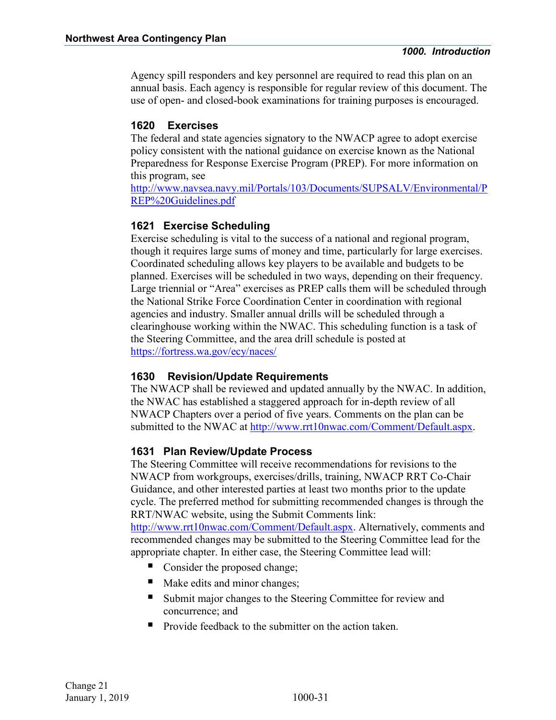Agency spill responders and key personnel are required to read this plan on an annual basis. Each agency is responsible for regular review of this document. The use of open- and closed-book examinations for training purposes is encouraged.

#### <span id="page-50-0"></span>**1620 Exercises**

The federal and state agencies signatory to the NWACP agree to adopt exercise policy consistent with the national guidance on exercise known as the National Preparedness for Response Exercise Program (PREP). For more information on this program, see

[http://www.navsea.navy.mil/Portals/103/Documents/SUPSALV/Environmental/P](http://www.navsea.navy.mil/Portals/103/Documents/SUPSALV/Environmental/PREP%20Guidelines.pdf) [REP%20Guidelines.pdf](http://www.navsea.navy.mil/Portals/103/Documents/SUPSALV/Environmental/PREP%20Guidelines.pdf)

#### **1621 Exercise Scheduling**

Exercise scheduling is vital to the success of a national and regional program, though it requires large sums of money and time, particularly for large exercises. Coordinated scheduling allows key players to be available and budgets to be planned. Exercises will be scheduled in two ways, depending on their frequency. Large triennial or "Area" exercises as PREP calls them will be scheduled through the National Strike Force Coordination Center in coordination with regional agencies and industry. Smaller annual drills will be scheduled through a clearinghouse working within the NWAC. This scheduling function is a task of the Steering Committee, and the area drill schedule is posted at <https://fortress.wa.gov/ecy/naces/>

#### <span id="page-50-1"></span>**1630 Revision/Update Requirements**

The NWACP shall be reviewed and updated annually by the NWAC. In addition, the NWAC has established a staggered approach for in-depth review of all NWACP Chapters over a period of five years. Comments on the plan can be submitted to the NWAC at [http://www.rrt10nwac.com/Comment/Default.aspx.](http://www.rrt10nwac.com/Comment/Default.aspx)

#### **1631 Plan Review/Update Process**

The Steering Committee will receive recommendations for revisions to the NWACP from workgroups, exercises/drills, training, NWACP RRT Co-Chair Guidance, and other interested parties at least two months prior to the update cycle. The preferred method for submitting recommended changes is through the RRT/NWAC website, using the Submit Comments link:

[http://www.rrt10nwac.com/Comment/Default.aspx.](http://www.rrt10nwac.com/Comment/Default.aspx) Alternatively, comments and recommended changes may be submitted to the Steering Committee lead for the appropriate chapter. In either case, the Steering Committee lead will:

- Consider the proposed change;
- Make edits and minor changes;
- Submit major changes to the Steering Committee for review and concurrence; and
- Provide feedback to the submitter on the action taken.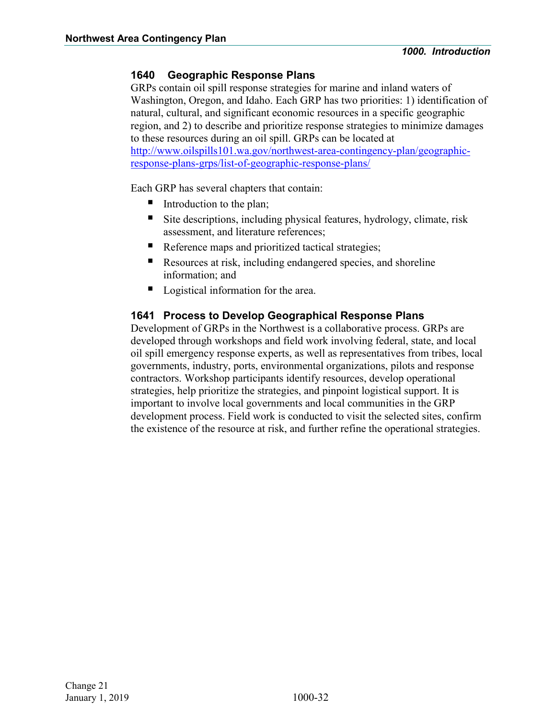#### <span id="page-51-0"></span>**1640 Geographic Response Plans**

GRPs contain oil spill response strategies for marine and inland waters of Washington, Oregon, and Idaho. Each GRP has two priorities: 1) identification of natural, cultural, and significant economic resources in a specific geographic region, and 2) to describe and prioritize response strategies to minimize damages to these resources during an oil spill. GRPs can be located at [http://www.oilspills101.wa.gov/northwest-area-contingency-plan/geographic](http://www.oilspills101.wa.gov/northwest-area-contingency-plan/geographic-response-plans-grps/list-of-geographic-response-plans/)[response-plans-grps/list-of-geographic-response-plans/](http://www.oilspills101.wa.gov/northwest-area-contingency-plan/geographic-response-plans-grps/list-of-geographic-response-plans/) 

Each GRP has several chapters that contain:

- Introduction to the plan;
- Site descriptions, including physical features, hydrology, climate, risk assessment, and literature references;
- Reference maps and prioritized tactical strategies;
- Resources at risk, including endangered species, and shoreline information; and
- Logistical information for the area.

#### **1641 Process to Develop Geographical Response Plans**

Development of GRPs in the Northwest is a collaborative process. GRPs are developed through workshops and field work involving federal, state, and local oil spill emergency response experts, as well as representatives from tribes, local governments, industry, ports, environmental organizations, pilots and response contractors. Workshop participants identify resources, develop operational strategies, help prioritize the strategies, and pinpoint logistical support. It is important to involve local governments and local communities in the GRP development process. Field work is conducted to visit the selected sites, confirm the existence of the resource at risk, and further refine the operational strategies.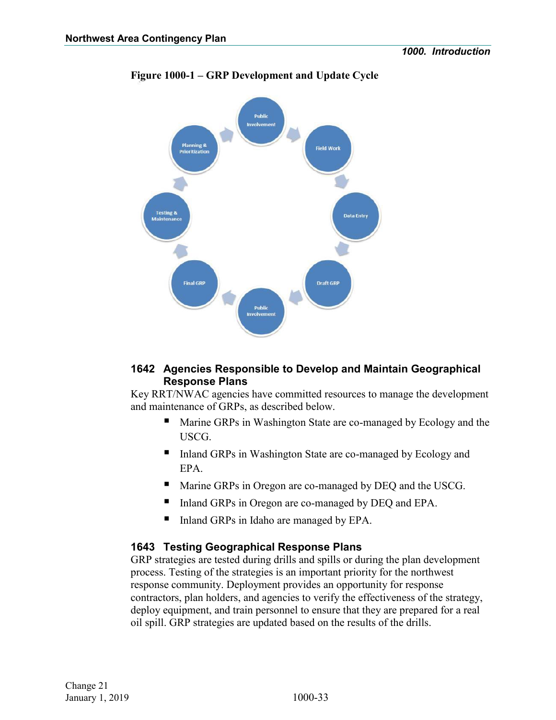

#### **Figure 1000-1 – GRP Development and Update Cycle**

#### **1642 Agencies Responsible to Develop and Maintain Geographical Response Plans**

Key RRT/NWAC agencies have committed resources to manage the development and maintenance of GRPs, as described below.

- **Marine GRPs in Washington State are co-managed by Ecology and the** USCG.
- Inland GRPs in Washington State are co-managed by Ecology and EPA.
- Marine GRPs in Oregon are co-managed by DEQ and the USCG.
- Inland GRPs in Oregon are co-managed by DEQ and EPA.
- Inland GRPs in Idaho are managed by EPA.

#### **1643 Testing Geographical Response Plans**

GRP strategies are tested during drills and spills or during the plan development process. Testing of the strategies is an important priority for the northwest response community. Deployment provides an opportunity for response contractors, plan holders, and agencies to verify the effectiveness of the strategy, deploy equipment, and train personnel to ensure that they are prepared for a real oil spill. GRP strategies are updated based on the results of the drills.